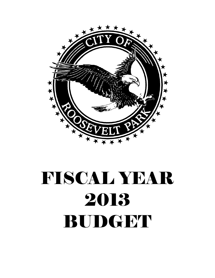

# FISCAL YEAR 2013 BUDGET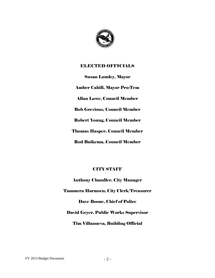

# ELECTED OFFICIALS

Susan Lumley, Mayor Amber Cahill, Mayor Pro-Tem Allan Lowe, Council Member Bob Grevious, Council Member Robert Young, Council Member Thomas Hasper, Council Member Rod Buikema, Council Member

# CITY STAFF

Anthony Chandler, City Manager Tammera Harmsen, City Clerk/Treasurer Dave Boone, Chief of Police David Geyer, Public Works Supervisor Tim Villanueva, Building Official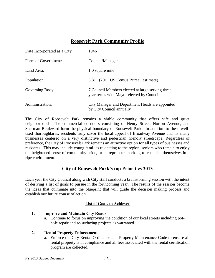# **Roosevelt Park Community Profile**

| Date Incorporated as a City: | 1946                                                                                         |
|------------------------------|----------------------------------------------------------------------------------------------|
| Form of Government:          | Council/Manager                                                                              |
| Land Area:                   | 1.0 square mile                                                                              |
| Population:                  | 3,811 (2011 US Census Bureau estimate)                                                       |
| Governing Body:              | 7 Council Members elected at large serving three<br>year terms with Mayor elected by Council |
| Administration:              | City Manager and Department Heads are appointed<br>by City Council annually                  |

The City of Roosevelt Park remains a viable community that offers safe and quiet neighborhoods. The commercial corridors consisting of Henry Street, Norton Avenue, and Sherman Boulevard form the physical boundary of Roosevelt Park. In addition to these wellused thoroughfares, residents truly savor the local appeal of Broadway Avenue and its many businesses centered on a very distinctive and pedestrian friendly streetscape. Regardless of preference, the City of Roosevelt Park remains an attractive option for all types of businesses and residents. This may include young families relocating to the region, seniors who remain to enjoy the heightened sense of community pride, or entrepreneurs seeking to establish themselves in a ripe environment.

# **City of Roosevelt Park's top Priorities 2013**

Each year the City Council along with City staff conducts a brainstorming session with the intent of deriving a list of goals to pursue in the forthcoming year. The results of the session become the ideas that culminate into the blueprint that will guide the decision making process and establish our future course of action.

# **List of Goals to Achieve:**

#### **1. Improve and Maintain City Roads**

a. Continue to focus on improving the condition of our local streets including pothole repair and re-surfacing projects as warranted.

#### **2. Rental Property Enforcement**

a. Enforce the City Rental Ordinance and Property Maintenance Code to ensure all rental property is in compliance and all fees associated with the rental certification program are collected.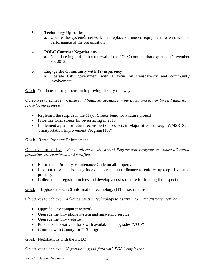## **3. Technology Upgrades**

a. Update the system's network and replace outmoded equipment to enhance the performance of the organization.

# **4. POLC Contract Negotiations**

a. Negotiate in good-faith a renewal of the POLC contract that expires on November 30, 2013.

# **5. Engage the Community with Transparency**

a. Operate City government with a focus on transparency and community involvement.

**Goal:** Continue a strong focus on improving the city roadways

Objectives to achieve: *Utilize fund balances available in the Local and Major Street Funds for re-surfacing projects* 

- Replenish the surplus in the Major Streets Fund for a future project
- Prioritize local streets for re-surfacing in 2013
- Implement a plan for future reconstruction projects in Major Streets through WMSRDC Transportation Improvement Program (TIP)

# **Goal:** Rental Property Enforcement

Objectives to achieve: *Focus efforts on the Rental Registration Program to ensure all rental properties are registered and certified* 

- Enforce the Property Maintenance Code on all property
- · Incorporate vacant housing index and create an ordinance to enforce upkeep of vacated property
- Collect rental registration fees and develop a cost structure for funding the inspections

**Goal:** Upgrade the City information technology (IT) infrastructure

Objectives to achieve: *Advancements in technology to assure maximum customer service*

- Upgrade City computer network
- · Upgrade the City phone system and answering service
- Upgrade the City website
- · Pursue collaborative efforts with available IT upgrades (VOIP)
- Contract with County for GIS program

**Goal:** Negotiations with the POLC

Objectives to achieve: *Negotiate in good-faith with POLC employees*

 $FY$  2013 Budget Document  $-4$  -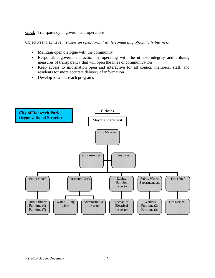#### **Goal:** Transparency in government operations

Objectives to achieve: *Foster an open format while conducting official city business*

- Maintain open dialogue with the community
- Responsible government action by operating with the utmost integrity and utilizing measures of transparency that will open the lines of communication
- · Keep access to information open and interactive for all council members, staff, and residents for more accurate delivery of information
- Develop local outreach programs

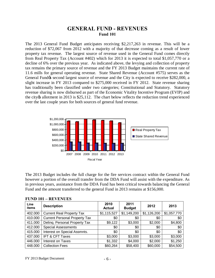# **GENERAL FUND - REVENUES Fund 101**

The 2013 General Fund Budget anticipates receiving \$2,217,263 in revenue. This will be a reduction of \$72,067 from 2012 with a majority of that decrease coming as a result of lower property tax revenue. The largest source of revenue used in the General Fund comes directly from Real Property Tax (Account #402) which for 2013 it is expected to total \$1,057,770 or a decline of 6% over the previous year. As indicated above, the levying and collection of property tax remains the primary source of revenue and the FY 2013 Budget maintains the current rate of 11.6 mills for general operating revenue. State Shared Revenue (Account #575) serves as the General Fund & second largest source of revenue and the City is expected to receive \$282,000, a slight increase in FY 2013 compared to \$275,000 received in FY 2012. State revenue sharing has traditionally been classified under two categories; Constitutional and Statutory. Statutory revenue sharing is now disbursed as part of the Economic Vitality Incentive Program (EVIP) and the city *o*s allotment in 2013 is \$25,112. The chart below reflects the reduction trend experienced over the last couple years for both sources of general fund revenue.



The 2013 Budget includes the full charge for the fire services contract within the General Fund however a portion of the overall transfer from the DDA Fund will assist with the expenditure. As in previous years, assistance from the DDA Fund has been critical towards balancing the General Fund and the amount transferred to the general Fund in 2013 remains at \$156,000.

| <b>Line</b><br>items | <b>Description</b>                   | 2010<br><b>Actual</b> | 2011<br><b>Budget</b> | 2012        | 2013        |
|----------------------|--------------------------------------|-----------------------|-----------------------|-------------|-------------|
| 402.000              | <b>Current Real Property Tax</b>     | \$1,115,527           | \$1,149,200           | \$1,126,200 | \$1,057,770 |
| 410.000              | <b>Current Personal Property Tax</b> | \$0                   | \$0                   | \$0         | \$0         |
| 411.000              | Deling. Personal Property Tax        | \$9,122               | \$3,000               | \$2,000     | \$4,800     |
| 412.000              | <b>Special Assessments</b>           | \$0                   | \$0                   | \$0         | \$0         |
| 415.000              | Interest on Special Assmnts.         | \$0                   | \$0                   | \$0         | \$0         |
| 437.000              | <b>IFT &amp; CFT Taxes</b>           | \$3,000               | \$3,000               | \$3,000     | \$3,000     |
| 446.000              | Interest on Taxes                    | \$1,332               | \$4,000               | \$2,000     | \$1,250     |
| 448.000              | <b>Collection Fees</b>               | \$60,264              | \$58,400              | \$60,000    | \$54,500    |

**FUND 101 – REVENUES**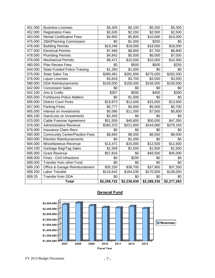| 451.000 | <b>Business Licenses</b>              | \$5,305     | \$5,100     | \$5,250     | \$5,300     |
|---------|---------------------------------------|-------------|-------------|-------------|-------------|
| 452.000 | <b>Registration Fees</b>              | \$2,635     | \$2,200     | \$2,500     | \$2,500     |
| 453.000 | <b>Rental Certification Fees</b>      | \$4,950     | \$5,800     | \$10,000    | \$10,000    |
| 475.000 | <b>ZBA/Planning Commission</b>        | \$0         | \$1,000     | \$250       | \$0         |
| 476.000 | <b>Building Permits</b>               | \$19,246    | \$18,000    | \$18,000    | \$18,000    |
| 477.000 | <b>Electrical Permits</b>             | \$7,469     | \$8,800     | \$7,700     | \$6,800     |
| 478.000 | <b>Plumbing Permits</b>               | \$4,842     | \$5,500     | \$6,000     | \$7,000     |
| 479.000 | Mechanical Permits                    | \$9,471     | \$10,000    | \$10,000    | \$10,300    |
| 480.000 | <b>Plan Review Fees</b>               | \$0         | \$500       | \$500       | \$250       |
| 544.000 | <b>State Funded Police Training</b>   | \$1,393     | \$1,600     | \$0         | \$0         |
| 575.000 | <b>State Sales Tax</b>                | \$280,481   | \$281,600   | \$275,000   | \$282,000   |
| 576.000 | Liquor Licenses                       | \$3,818     | \$3,700     | \$3,550     | \$3,500     |
| 588.000 | <b>DDA Reimbursements</b>             | \$156,000   | \$156,000   | \$156,000   | \$156,000   |
| 642.000 | <b>Concession Sales</b>               | \$0         | \$0         | \$0         | \$0         |
| 642.100 | Arts & Crafts                         | \$307       | \$500       | \$400       | \$300       |
| 655.000 | <b>Forfeitures-Police Matters</b>     | \$0         | \$1,000     | \$0         | \$0         |
| 656.000 | <b>District Court Fines</b>           | \$19,973    | \$12,000    | \$15,000    | \$13,500    |
| 657.000 | <b>Parking Fines</b>                  | \$5,777     | \$4,000     | \$5,000     | \$5,700     |
| 665.000 | Interest on Investments               | \$5,066     | \$11,000    | \$7,500     | \$5,800     |
| 665.100 | Gain/Loss on Investments              | $-$2,403$   | \$0         | \$0         | \$0         |
| 670.000 | Cable Francise Agreement              | \$51,559    | \$40,800    | \$50,000    | \$47,350    |
| 676.000 | <b>Administrative Revenue</b>         | \$260,375   | \$221,800   | \$244,080   | \$279,193   |
| 679.000 | <b>Insurance Claim Recv</b>           | \$0         | \$0         | \$0         | \$0         |
| 690.000 | <b>Community Center/Pavilion Fees</b> | \$8,665     | \$8,000     | \$8,500     | \$9,000     |
| 693.000 | <b>Election Reimbursements</b>        | \$0         | \$1,000     | \$0         | \$0         |
| 694.000 | Miscellaneous Revenue                 | \$13,471    | \$15,000    | \$12,500    | \$11,600    |
| 694.100 | Garbage Bag/Tag Sales                 | \$1,569     | \$1,500     | \$1,500     | \$1,500     |
| 695.000 | <b>Grant Revenue</b>                  | \$57,816    | \$0         | \$48,500    | \$45,000    |
| 696.000 | <b>Fines - Civil Infractions</b>      | \$0         | \$200       | \$0         | \$0         |
| 699.000 | Transfer from other Fund              | \$0         | \$0         | \$0         | \$0         |
| 699.100 | Office & Garage Reimbursement         | \$35,150    | \$38,700    | \$37,900    | \$37,350    |
| 699.200 | Labor Transfer                        | \$116,542   | \$164,030   | \$170,500   | \$138,000   |
| 699.25  | <b>Transfer from DDA</b>              | \$0         | \$0         | \$0         | \$0         |
|         | <b>Total</b>                          | \$2,258,722 | \$2,236,930 | \$2,289,330 | \$2,217,263 |



# **General Fund**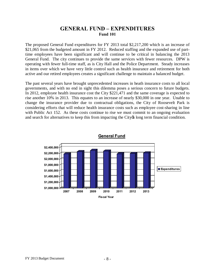# **GENERAL FUND – EXPENDITURES Fund 101**

The proposed General Fund expenditures for FY 2013 total \$2,217,200 which is an increase of \$21,065 from the budgeted amount in FY 2012. Reduced staffing and the expanded use of parttime employees have been significant and will continue to be critical in balancing the 2013 General Fund. The city continues to provide the same services with fewer resources. DPW is operating with fewer full-time staff, as is City Hall and the Police Department. Steady increases in items over which we have very little control such as health insurance and retirement for both active and our retired employees creates a significant challenge to maintain a balanced budget.

The past several years have brought unprecedented increases in heath insurance costs to all local governments, and with no end in sight this dilemma poses a serious concern to future budgets. In 2012, employee health insurance cost the City \$221,471 and the same coverage is expected to rise another 10% in 2013. This equates to an increase of nearly \$30,000 in one year. Unable to change the insurance provider due to contractual obligations, the City of Roosevelt Park is considering efforts that will reduce health insurance costs such as employee cost-sharing in line with Public Act 152. As these costs continue to rise we must commit to an ongoing evaluation and search for alternatives to keep this from impacting the City os long term financial condition.



**General Fund**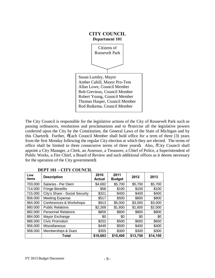

The City Council is responsible for the legislative actions of the City of Roosevelt Park such as passing ordinances, resolutions and proclamations and to  $\tilde{c}$  exercise all the legislative powers conferred upon the City by the Constitution, the General Laws of the State of Michigan and by this Charterö. Further,  $\tilde{\sigma}$ Each Council Member shall hold office for a term of three (3) years from the first Monday following the regular City election at which they are elected. The terms of office shall be limited to three consecutive terms of three yearsö. Also,  $\tilde{c}$ City Council shall appoint a City Manager, a Clerk, an Assessor, a Treasurer, a Chief of Police, a Superintendent of Public Works, a Fire Chief, a Board of Review and such additional offices as it deems necessary for the operation of the City governmento.

| Line<br>items | <b>Description</b>             | 2010<br><b>Actual</b> | 2011<br><b>Budget</b> | 2012     | 2013     |
|---------------|--------------------------------|-----------------------|-----------------------|----------|----------|
| 703.000       | Salaries - Per Diem            | \$4,692               | \$5,700               | \$5,700  | \$5,700  |
| 714.000       | <b>Fringe Benefits</b>         | \$58                  | \$100                 | \$100    | \$100    |
| 715.000       | City's Share - Social Security | \$321                 | \$400                 | \$400    | \$400    |
| 856.000       | <b>Meeting Expense</b>         | \$517                 | \$500                 | \$800    | \$800    |
| 864.000       | Conferences & Workshops        | \$913                 | \$5,000               | \$3,000  | \$3,000  |
| 880.000       | <b>Public Relations</b>        | \$2,268               | \$1,600               | \$1,600  | \$2,000  |
| 882.000       | <b>Personnel Relations</b>     | \$859                 | \$800                 | \$800    | \$800    |
| 884.000       | Mayor Exchange                 | \$0                   | \$0                   | \$0      | \$0      |
| 886.000       | <b>Civic Promotion</b>         | \$252                 | \$500                 | \$650    | \$650    |
| 956.000       | Miscellaneous                  | \$449                 | \$500                 | \$400    | \$400    |
| 958.000       | <b>Memberships &amp; Dues</b>  | \$355                 | \$300                 | \$300    | \$300    |
|               | Total                          | \$10,683              | \$15,400              | \$13,750 | \$14,150 |

#### **DEPT 101 – CITY COUNCIL**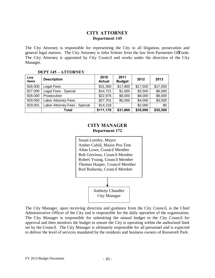# **CITY ATTORNEY Department 145**

The City Attorney is responsible for representing the City in all litigation, prosecution and general legal matters. The City Attorney is John Schrier from the law firm Parmenter OoToole. The City Attorney is appointed by City Council and works under the direction of the City Manager.

#### **DEPT 145 – ATTORNEY**

| Line<br>items | <b>Description</b>            | 2010<br><b>Actual</b> | 2011<br><b>Budget</b> | 2012     | 2013     |
|---------------|-------------------------------|-----------------------|-----------------------|----------|----------|
| 826.000       | Legal Fees                    | \$31,560              | \$17,800              | \$17,500 | \$17,500 |
| 827.000       | Legal Fees - Special          | \$14,721              | \$1,000               | \$3,500  | \$6,000  |
| 828.000       | Prosecution                   | \$22,976              | \$8,000               | \$8,000  | \$9,000  |
| 829.000       | Labor Attorney Fees           | \$27,701              | \$5,000               | \$4,000  | \$3,000  |
| 829.001       | Labor Attorney Fees - Special | \$14,218              |                       | \$2,000  | \$0      |
|               | Total                         | \$111,176             | \$31,800              | \$35,000 | \$35,500 |

# **CITY MANAGER Department 172**



The City Manager, upon receiving direction and guidance from the City Council, is the Chief Administrative Officer of the City and is responsible for the daily operation of the organization. The City Manager is responsible for submitting the annual budget to the City Council for approval and then monitors the budget to ensure the City is operating within the authorized limit set by the Council. The City Manager is ultimately responsible for all personnel and is expected to deliver the level of services mandated by the residents and business owners of Roosevelt Park.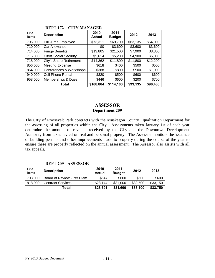| Line<br>items | <b>Description</b>           | 2010<br><b>Actual</b> | 2011<br><b>Budget</b> | 2012     | 2013     |
|---------------|------------------------------|-----------------------|-----------------------|----------|----------|
| 705.000       | <b>Full-Time Employee</b>    | \$73,311              | \$69,700              | \$63,135 | \$64,000 |
| 710.000       | Car Allowance                | \$0                   | \$3,600               | \$3,600  | \$3,600  |
| 714.000       | <b>Fringe Benefits</b>       | \$13,805              | \$21,500              | \$7,900  | \$8,800  |
| 715.000       | <b>City® Social Security</b> | \$5,614               | \$5,200               | \$4,900  | \$5,000  |
| 718.000       | City's Share Retirement      | \$14,362              | \$11,800              | \$11,800 | \$12,200 |
| 856.000       | <b>Meeting Expense</b>       | \$618                 | \$400                 | \$500    | \$500    |
| 864.000       | Conferences & Workshops      | \$388                 | \$800                 | \$500    | \$1,000  |
| 940.000       | <b>Cell Phone Rental</b>     | \$320                 | \$500                 | \$600    | \$600    |
| 958.000       | Memberships & Dues           | \$446                 | \$600                 | \$200    | \$700    |
|               | Total                        | \$108,864             | \$114,100             | \$93,135 | \$96,400 |

# **DEPT 172 – CITY MANAGER**

# **ASSESSOR Department 209**

The City of Roosevelt Park contracts with the Muskegon County Equalization Department for the assessing of all properties within the City. Assessments taken January 1st of each year determine the amount of revenue received by the City and the Downtown Development Authority from taxes levied on real and personal property. The Assessor monitors the issuance of building permits and other improvements made to property during the course of the year to ensure these are properly reflected on the annual assessment. The Assessor also assists with all tax appeals.

#### **Line items Description <sup>2010</sup> Actual 2011 Budget <sup>2012</sup> <sup>2013</sup>** 703.000 Board of Review - Per Diem \$547 \$600 \$600 \$600 818.000 | Contract Services | \$28,144 | \$31,000 | \$32,500 | \$33,150 **Total \$28,691 \$31,600 \$33,100 \$33,750**

#### **DEPT 209 - ASSESSOR**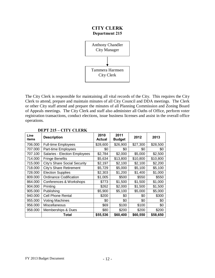# **CITY CLERK Department 215**



The City Clerk is responsible for maintaining all vital records of the City. This requires the City Clerk to attend, prepare and maintain minutes of all City Council and DDA meetings. The Clerk or other City staff attend and prepare the minutes of all Planning Commission and Zoning Board of Appeals meetings. The City Clerk and staff also administer all Oaths of Office, perform voter registration transactions, conduct elections, issue business licenses and assist in the overall office operations.

| Line<br>items | <b>Description</b>            | 2010<br><b>Actual</b> | 2011<br><b>Budget</b> | 2012     | 2013     |
|---------------|-------------------------------|-----------------------|-----------------------|----------|----------|
| 706.000       | <b>Full-time Employees</b>    | \$28,600              | \$26,900              | \$27,300 | \$28,500 |
| 707.000       | Part-time Employees           | \$0                   | \$0                   | \$0      | \$0      |
| 707.100       | Salaries - Election Employees | \$2,784               | \$2,000               | \$5,000  | \$2,500  |
| 714.000       | <b>Fringe Benefits</b>        | \$5,634               | \$13,800              | \$10,800 | \$10,800 |
| 715.000       | City's Share Social Security  | \$2,197               | \$2,100               | \$2,100  | \$2,200  |
| 718.000       | City's Share Retirement       | \$5,729               | \$5,000               | \$5,100  | \$5,100  |
| 728.000       | <b>Election Supplies</b>      | \$2,303               | \$1,200               | \$1,400  | \$1,000  |
| 809.000       | <b>Ordinance Codification</b> | \$1,005               | \$500                 | \$550    | \$550    |
| 864.000       | Conferences & Workshops       | \$773                 | \$1,500               | \$1,500  | \$1,000  |
| 904.000       | Printing                      | \$262                 | \$2,000               | \$1,500  | \$1,500  |
| 905.000       | Publishing                    | \$5,900               | \$5,100               | \$5,000  | \$5,000  |
| 940.000       | <b>Cell Phone Rental</b>      | \$200                 | \$0                   | \$0      | \$300    |
| 955.000       | <b>Voting Machines</b>        | \$0                   | \$0                   | \$0      | \$0      |
| 956.000       | Miscellaneous                 | \$69                  | \$100                 | \$100    | \$0      |
| 958.000       | Memberships & Dues            | \$80                  | \$200                 | \$200    | \$200    |
|               | Total                         | \$55,536              | \$60,400              | \$60,550 | \$58,650 |

# **DEPT 215 – CITY CLERK**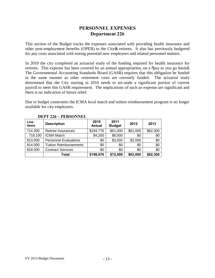# **PERSONNEL EXPENSES Department 226**

This section of the Budget tracks the expenses associated with providing health insurance and other post-employment benefits (OPEB) to the City os retirees. It also has previously budgeted for any costs associated with testing potential new employees and related personnel matters.

In 2010 the city completed an actuarial study of the funding required for health insurance for retirees. This expense has been covered by an annual appropriation, on a  $\tilde{\sigma}$  pay as you go basiso. The Governmental Accounting Standards Board (GASB) requires that this obligation be funded in the same manner as other retirement costs are currently funded. The actuarial study determined that the City starting in 2010 needs to set-aside a significant portion of current payroll to meet this GASB requirement. The implications of such an expense are significant and there is no indication of future relief.

Due to budget constraints the ICMA local match and tuition reimbursement program is no longer available for city employees.

| Line<br>items | <b>Description</b>            | 2010<br><b>Actual</b> | 2011<br><b>Budget</b> | 2012     | 2013     |
|---------------|-------------------------------|-----------------------|-----------------------|----------|----------|
| 714.300       | Retiree Insurances            | \$194,776             | \$61,000              | \$61,000 | \$62,300 |
| 718.100       | <b>ICMA Match</b>             | \$4,200               | \$8,000               | \$0      | \$0      |
| 813.000       | <b>Personnel Evaluations</b>  | \$0                   | \$3,000               | \$2,000  | \$0      |
| 814.000       | <b>Tuition Reimbursements</b> | \$0                   | \$0                   | \$0      | \$0      |
| 818.000       | <b>Contract Services</b>      | \$0                   | \$0                   | \$0      | \$0      |
|               | Total                         | \$198,976             | \$72,000              | \$63,000 | \$62,300 |

#### **DEPT 226 – PERSONNEL**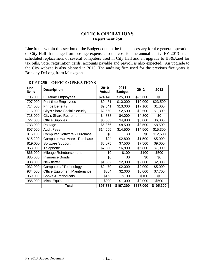# **OFFICE OPERATIONS Department 250**

Line items within this section of the Budget contain the funds necessary for the general operation of City Hall that range from postage expenses to the cost for the annual audit. FY 2013 has a scheduled replacement of several computers used in City Hall and an upgrade to BS&A.net for tax bills, voter registration cards, accounts payable and payroll is also expected. An upgrade to the City website is also planned in 2013. The auditing firm used for the previous five years is Brickley DeLong from Muskegon.

| Line<br>items | <b>Description</b>             | 2010<br><b>Actual</b> | 2011<br><b>Budget</b> | 2012      | 2013      |
|---------------|--------------------------------|-----------------------|-----------------------|-----------|-----------|
| 706.000       | <b>Full-time Employees</b>     | \$24,448              | \$25,300              | \$25,600  | \$0       |
| 707.000       | Part-time Employees            | \$9,481               | \$10,000              | \$10,000  | \$23,500  |
| 714.000       | <b>Fringe Benefits</b>         | \$9,541               | \$13,000              | \$17,100  | \$1,000   |
| 715.000       | City's Share Social Security   | \$2,660               | \$2,500               | \$2,500   | \$1,800   |
| 718.000       | City's Share Retirement        | \$4,838               | \$4,000               | \$4,800   | \$0       |
| 727.000       | <b>Office Supplies</b>         | \$6,065               | \$4,900               | \$6,000   | \$6,000   |
| 733.000       | Postage                        | \$6,366               | \$8,500               | \$8,500   | \$8,500   |
| 807.000       | <b>Audit Fees</b>              | \$14,555              | \$14,500              | \$14,500  | \$15,300  |
| 815.100       | Computer Software - Purchase   | \$0                   | \$0                   | \$0       | \$12,500  |
| 815.200       | Computer Hardware - Purchase   | \$24                  | \$2,800               | \$1,500   | \$5,000   |
| 819.000       | Software Support               | \$6,075               | \$7,500               | \$7,500   | \$9,000   |
| 853.000       | Telephone                      | \$7,800               | \$6,800               | \$6,800   | \$7,000   |
| 866.000       | Mileage Reimbursement          | \$0                   | \$100                 | \$100     | \$500     |
| 885.000       | <b>Insurance Bonds</b>         | \$0                   | \$0                   | \$0       | \$0       |
| 903.000       | Newsletter                     | \$1,532               | \$2,300               | \$2,000   | \$2,000   |
| 932.000       | Computers / Technology         | \$2,470               | \$2,000               | \$2,000   | \$5,000   |
| 934.000       | Office Equipment Maintenance   | \$864                 | \$2,000               | \$6,000   | \$7,700   |
| 959.000       | <b>Books &amp; Periodicals</b> | \$163                 | \$100                 | \$100     | \$0       |
| 985.000       | Misc. Equipment                | \$900                 | \$1,000               | \$2,000   | \$500     |
|               | Total                          | \$97,781              | \$107,300             | \$117,000 | \$105,300 |

#### **DEPT 250 – OFFICE OPERATIONS**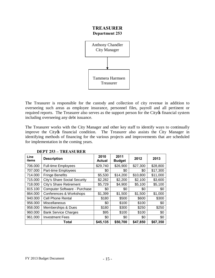# **TREASURER Department 253**



The Treasurer is responsible for the custody and collection of city revenue in addition to overseeing such areas as employee insurance, personnel files, payroll and all pertinent or required reports. The Treasurer also serves as the support person for the City of financial system including overseeing any debt issuance.

The Treasurer works with the City Manager and other key staff to identify ways to continually improve the City of financial condition. The Treasurer also assists the City Manager in identifying methods of financing for the various projects and improvements that are scheduled for implementation in the coming years.

| Line<br>items | <b>Description</b>           | 2010<br><b>Actual</b> | 2011<br><b>Budget</b> | 2012     | 2013     |
|---------------|------------------------------|-----------------------|-----------------------|----------|----------|
| 706.000       | <b>Full-time Employees</b>   | \$29,740              | \$26,900              | \$27,300 | \$28,800 |
| 707.000       | Part-time Employees          | \$0                   | \$0                   | \$0      | \$17,300 |
| 714.000       | <b>Fringe Benefits</b>       | \$5,530               | \$14,200              | \$10,800 | \$11,000 |
| 715.000       | City's Share Social Security | \$2,282               | \$2,200               | \$2,100  | \$3,600  |
| 718.000       | City's Share Retirement      | \$5,729               | \$4,900               | \$5,100  | \$5,100  |
| 815.100       | Computer Software - Purchase | \$0                   | \$0                   | \$0      | \$0      |
| 864.000       | Conferences & Workshops      | \$1,399               | \$1,500               | \$1,500  | \$1,000  |
| 940.000       | <b>Cell Phone Rental</b>     | \$180                 | \$500                 | \$600    | \$300    |
| 956.000       | Miscellaneous                | \$0                   | \$100                 | \$100    | \$0      |
| 958.000       | Memberships & Dues           | \$180                 | \$300                 | \$250    | \$250    |
| 960.000       | <b>Bank Service Charges</b>  | \$95                  | \$100                 | \$100    | \$0      |
| 961.000       | <b>Investment Fees</b>       | \$0                   | \$0                   | \$0      | \$0      |
|               | Total                        | \$45,135              | \$50,700              | \$47,850 | \$67,350 |

**DEPT 253 – TREASURER**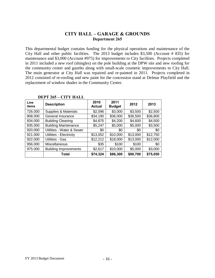# **CITY HALL – GARAGE & GROUNDS Department 265**

This departmental budget contains funding for the physical operations and maintenance of the City Hall and other public facilities. The 2013 budget includes \$3,500 (Account # 835) for maintenance and \$3,000 (Account #975) for improvements to City facilities. Projects completed in 2011 included a new roof (shingles) on the pole building at the DPW site and new roofing for the community center and gazebo along with small-scale cosmetic improvements to City Hall. The main generator at City Hall was repaired and re-painted in 2011. Projects completed in 2012 consisted of re-roofing and new paint for the concession stand at Delmar Playfield and the replacement of window shades in the Community Center.

| Line<br>items | <b>Description</b>           | 2010<br><b>Actual</b> | 2011<br><b>Budget</b> | 2012     | 2013     |
|---------------|------------------------------|-----------------------|-----------------------|----------|----------|
| 726.000       | Supplies & Materials         | \$2,096               | \$3,000               | \$3,500  | \$2,500  |
| 808.000       | General Insurance            | \$34,190              | \$36,000              | \$36,500 | \$36,800 |
| 834.000       | <b>Building Cleaning</b>     | \$4,875               | \$4,200               | \$4,600  | \$4,500  |
| 835.000       | <b>Building Maintenance</b>  | \$5,247               | \$5,000               | \$5,000  | \$3,500  |
| 920.000       | Utilities - Water & Sewer    | \$0                   | \$0                   | \$0      | \$0      |
| 921.000       | Utilities - Electricity      | \$13,052              | \$10,000              | \$13,000 | \$12,750 |
| 922.000       | Utilities - Gas              | \$12,212              | \$18,000              | \$13,000 | \$12,000 |
| 956.000       | Miscellaneous                | \$35                  | \$100                 | \$100    | \$0      |
| 975.000       | <b>Building Improvements</b> | \$2,617               | \$10,000              | \$5,000  | \$3,000  |
|               | Total                        | \$74,324              | \$86,300              | \$80,700 | \$75,050 |

#### **DEPT 265 – CITY HALL**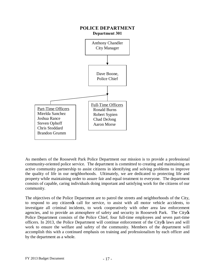

As members of the Roosevelt Park Police Department our mission is to provide a professional community-oriented police service. The department is committed to creating and maintaining an active community partnership to assist citizens in identifying and solving problems to improve the quality of life in our neighborhoods. Ultimately, we are dedicated to protecting life and property while maintaining order to assure fair and equal treatment to everyone. The department consists of capable, caring individuals doing important and satisfying work for the citizens of our community.

The objectives of the Police Department are to patrol the streets and neighborhoods of the City, to respond to any citizengs call for service, to assist with all motor vehicle accidents, to investigate all criminal incidents, to work cooperatively with other area law enforcement agencies, and to provide an atmosphere of safety and security in Roosevelt Park. The City& Police Department consists of the Police Chief, four full-time employees and seven part-time officers. In 2013, the Police Department will continue enforcement of the City of laws and will work to ensure the welfare and safety of the community. Members of the department will accomplish this with a continued emphasis on training and professionalism by each officer and by the department as a whole.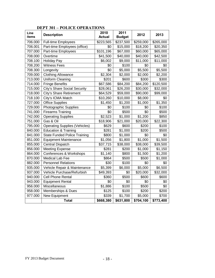| Line<br>items | <b>Description</b>                   | 2010<br><b>Actual</b> | 2011<br><b>Budget</b> | 2012      | 2013      |
|---------------|--------------------------------------|-----------------------|-----------------------|-----------|-----------|
| 706.000       | Full-time Employees                  | \$223,565             | \$237,500             | \$259,000 | \$265,000 |
| 706.001       | Part-time Employees (office)         | \$0                   | \$15,000              | \$18,200  | \$20,350  |
| 707.000       | Part-time Employees                  | \$101,196             | \$67,000              | \$60,000  | \$65,000  |
| 708.000       | Overtime                             | \$41,500              | \$40,000              | \$40,000  | \$42,500  |
| 708.100       | <b>Holiday Pay</b>                   | \$6,002               | \$9,000               | \$11,000  | \$11,000  |
| 708.200       | <b>Witness Fees</b>                  | \$0                   | \$100                 | \$0       | \$0       |
| 708.300       | Longevity                            | \$0                   | \$5,000               | \$5,500   | \$5,500   |
| 709.000       | <b>Clothing Allowance</b>            | \$2,304               | \$2,000               | \$2,000   | \$2,200   |
| 713.000       | Uniform Cleaning                     | \$201                 | \$600                 | \$300     | \$300     |
| 714.000       | <b>Fringe Benefits</b>               | \$67,586              | \$84,200              | \$84,200  | \$120,500 |
| 715.000       | <b>City's Share Social Security</b>  | \$28,061              | \$26,200              | \$30,000  | \$32,000  |
| 718.000       | City's Share Retirement              | \$64,529              | \$59,000              | \$90,000  | \$99,000  |
| 718.100       | City's ICMA Match                    | \$10,260              | \$10,000              | \$8,000   | \$0       |
| 727.000       | <b>Office Supplies</b>               | \$1,450               | \$1,200               | \$1,000   | \$1,350   |
| 729.000       | Photographic Supplies                | \$0                   | \$100                 | \$0       | \$100     |
| 741.000       | <b>Firearms Training</b>             | \$0                   | \$500                 | \$0       | \$500     |
| 742.000       | <b>Operating Supplies</b>            | \$2,523               | \$1,000               | \$1,200   | \$850     |
| 751.000       | Gas & Oil                            | $\frac{1}{18,906}$    | \$21,000              | \$20,000  | \$22,300  |
| 795.000       | <b>Operating Supplies (Vehicles)</b> | \$629                 | \$600                 | \$200     | \$100     |
| 840.000       | <b>Education &amp; Training</b>      | \$281                 | \$1,000               | \$200     | \$500     |
| 841.000       | State Funded Police Training         | \$800                 | \$1,000               | \$0       | \$0       |
| 851.000       | <b>Equipment Maintenance</b>         | \$1,056               | \$1,800               | \$1,000   | \$1,500   |
| 855.000       | Central Dispatch                     | \$37,715              | \$38,000              | \$38,000  | \$39,500  |
| 856.000       | <b>Meeting Expense</b>               | \$281                 | \$200                 | \$1,000   | \$1,150   |
| 864.000       | Conferences & Workshops              | \$1,140               | \$800                 | \$1,500   | \$1,200   |
| 870.000       | Medical Lab Fee                      | \$864                 | \$500                 | \$500     | \$1,000   |
| 882.000       | <b>Personnel Relations</b>           | $\overline{$}30$      | \$100                 | \$0       | \$0       |
| 935.000       | Vehicle Repair & Maintenance         | \$5,399               | \$6,000               | \$5,000   | \$6,500   |
| 937.000       | Vehicle Purchase/Refurbish           | \$49,393              | \$0                   | \$20,000  | \$32,000  |
| 940.000       | <b>Cell Phone Rental</b>             | \$360                 | \$500                 | \$600     | \$600     |
| 943.000       | <b>Equipment Rental</b>              | \$0                   | \$0                   | \$0       | \$0       |
| 956.000       | Miscellaneous                        | \$1,886               | \$100                 | \$500     | \$0       |
| 958.000       | Memberships & Dues                   | \$125                 | \$100                 | \$200     | \$200     |
| 977.000       | New Equipment                        | \$339                 | \$1,700               | \$5,000   | \$700     |
|               | <b>Total</b>                         | \$668,380             | \$631,800             | \$704,100 | \$773,400 |

# **DEPT 301 – POLICE OPERATIONS**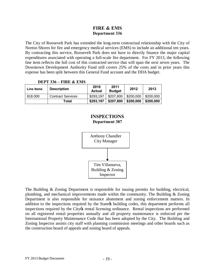# **FIRE & EMS Department 336**

The City of Roosevelt Park has extended the long-term contractual relationship with the City of Norton Shores for fire and emergency medical services (EMS) to include an additional ten years. By contracting this service, Roosevelt Park does not have to directly finance the major capital expenditures associated with operating a full-scale fire department. For FY 2013, the following line item reflects the full cost of this contracted service that will span the next seven years. The Downtown Development Authority Fund still covers 25% of the costs and in prior years this expense has been split between this General Fund account and the DDA budget.

|            | .                        |                       |                       |           |           |
|------------|--------------------------|-----------------------|-----------------------|-----------|-----------|
| Line items | <b>Description</b>       | 2010<br><b>Actual</b> | 2011<br><b>Budget</b> | 2012      | 2013      |
| 818.000    | <b>Contract Services</b> | \$293.197             | $$207,800$ $$200,000$ |           | \$200,000 |
|            | Total                    | \$293,197             | \$207,800             | \$200,000 | \$200,000 |

#### **DEPT 336 – FIRE & EMS**

### **INSPECTIONS Department 387**



The Building & Zoning Department is responsible for issuing permits for building, electrical, plumbing, and mechanical improvements made within the community. The Building & Zoning Department is also responsible for nuisance abatement and zoning enforcement matters. In addition to the inspections required by the State ts building codes, this department performs all inspections required by the City os rental licensing ordinance. Rental inspections are performed on all registered rental properties annually and all property maintenance is enforced per the International Property Maintenance Code that has been adopted by the City. The Building and Zoning Inspector assists city staff with planning commission meetings and other boards such as the construction board of appeals and zoning board of appeals.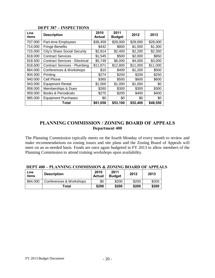| Line<br>items | <b>Description</b>                    | 2010<br>Actual | 2011<br><b>Budget</b> | 2012     | 2013     |
|---------------|---------------------------------------|----------------|-----------------------|----------|----------|
| 707.000       | Part-time Employees                   | \$36,459       | \$28,000              | \$28,000 | \$28,000 |
| 714.000       | <b>Fringe Benefits</b>                | \$442          | \$800                 | \$1,500  | \$1,300  |
| 715.000       | City's Share Social Security          | \$2,814        | \$2,400               | \$2,200  | \$2,350  |
| 818.000       | <b>Contract Services</b>              | \$1,545        | \$500                 | \$2,000  | \$850    |
| 818.500       | <b>Contract Services - Electrical</b> | \$5,748        | \$6,000               | \$4,000  | \$3,000  |
| 818.600       | <b>Contract Services - Plumbing</b>   | \$11,871       | \$12,800              | \$11,000 | \$11,000 |
| 864.000       | Conferences & Workshops               | \$10           | \$400                 | \$1,200  | \$500    |
| 904.000       | Printing                              | \$274          | \$200                 | \$200    | \$250    |
| 940.000       | Cell Phone                            | \$360          | \$500                 | \$600    | \$600    |
| 943.000       | <b>Equipment Rental</b>               | \$1,000        | \$1,000               | \$1,000  | \$0      |
| 958.000       | Memberships & Dues                    | \$260          | \$300                 | \$300    | \$300    |
| 959.000       | <b>Books &amp; Periodicals</b>        | \$275          | \$200                 | \$400    | \$400    |
| 985.000       | <b>Equipment Purchases</b>            | \$0            | \$0                   | \$0      | \$0      |
|               | Total                                 | \$61,058       | \$53,100              | \$52,400 | \$48,550 |

# **DEPT 387 – INSPECTIONS**

# **PLANNING COMMISSION / ZONING BOARD OF APPEALS Department 400**

The Planning Commission typically meets on the fourth Monday of every month to review and make recommendations on zoning issues and site plans and the Zoning Board of Appeals will meet on an as-needed basis. Funds are once again budgeted in FY 2013 to allow members of the Planning Commission to attend training workshops upon availability.

| <b>DEPT 400 – PLANNING COMMISSION &amp; ZONING BOARD OF APPEALS</b> |  |  |  |
|---------------------------------------------------------------------|--|--|--|
|---------------------------------------------------------------------|--|--|--|

| Line<br>items | <b>Description</b>      | 2010<br><b>Actual</b> | 2011<br><b>Budget</b> | 2012  | 2013  |
|---------------|-------------------------|-----------------------|-----------------------|-------|-------|
| 864.000       | Conferences & Workshops | \$0                   | \$200                 | \$200 | \$200 |
|               | Total                   | \$200                 | \$200                 | \$200 | \$200 |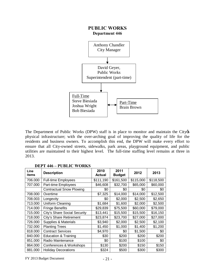

The Department of Public Works (DPW) staff is in place to monitor and maintain the City  $\&$ physical infrastructure; with the over-arching goal of improving the quality of life for the residents and business owners. To accomplish this end, the DPW will make every effort to ensure that all City-owned streets, sidewalks, park areas, playground equipment, and public utilities are maintained to their highest level. The full-time staffing level remains at three in 2013.

| Line<br>items | <b>Description</b>              | 2010<br><b>Actual</b> | 2011<br><b>Budget</b> | 2012      | 2013      |
|---------------|---------------------------------|-----------------------|-----------------------|-----------|-----------|
| 706.000       | <b>Full-time Employees</b>      | \$111,190             | \$161,500             | \$115,000 | \$118,500 |
| 707.000       | Part-time Employees             | \$46,608              | \$32,700              | \$65,000  | \$60,000  |
|               | <b>Contractual Snow Plowing</b> | \$0                   | \$0                   | \$0       | \$0       |
| 708.000       | Overtime                        | \$7,325               | \$14,000              | \$14,000  | \$12,500  |
| 708.003       | Longevity                       | \$0                   | \$2,000               | \$2,500   | \$2,650   |
| 713.000       | Uniform Cleaning                | \$1,684               | \$1,600               | \$2,000   | \$2,500   |
| 714.000       | <b>Fringe Benefits</b>          | \$29,839              | \$75,500              | \$60,000  | \$79,000  |
| 715.000       | City's Share Social Security    | \$13,441              | \$15,500              | \$15,500  | \$16,150  |
| 718.000       | <b>City's Share Retirement</b>  | \$23,874              | \$23,700              | \$27,000  | \$27,000  |
| 726.000       | Supplies & Materials            | \$3,940               | \$2,000               | \$2,500   | \$2,100   |
| 732.000       | <b>Planting Trees</b>           | \$1,450               | \$1,000               | \$1,400   | \$1,200   |
| 818.000       | <b>Contract Services</b>        | \$4,970               | \$0                   | \$1,500   | \$0       |
| 840.000       | Education & Training            | \$30                  | \$200                 | \$200     | \$200     |
| 851.000       | Radio Maintenance               | \$0                   | \$100                 | \$100     | \$0       |
| 864.000       | Conferences & Workshops         | \$130                 | \$200                 | \$150     | \$150     |
| 881.000       | <b>Holiday Decorations</b>      | \$324                 | \$500                 | \$300     | \$300     |

#### **DEPT 446 – PUBLIC WORKS**

 $FY$  2013 Budget Document  $-21$  -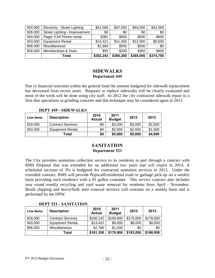| 924.000 | Electricty - Street Lighting  | \$41,588  | \$47,500  | \$44,500  | \$42,000  |
|---------|-------------------------------|-----------|-----------|-----------|-----------|
| 926.000 | Street Lighting - Improvement | \$0       | \$0       | \$0       | \$0       |
| 940.000 | Pager /Cell Phone rental      | \$381     | \$500     | \$500     | \$600     |
| 943.000 | <b>Equipment Rental</b>       | \$13,421  | \$11,000  | \$12,000  | \$9,500   |
| 956.000 | Miscellaneous                 | \$1,994   | \$500     | \$500     | \$0       |
| 958.000 | Memberships & Dues            | \$55      | \$200     | \$350     | \$400     |
|         | Total                         | \$302,243 | \$390,200 | \$365,000 | \$374,750 |

# **SIDEWALKS Department 449**

Due to financial restraints within the general fund the amount budgeted for sidewalk replacement has decreased from recent years. Requests to replace sidewalks will be closely evaluated and most of the work will be done using city staff. In 2012 the city contracted sidewalk repair to a firm that specializes in grinding concrete and this technique may be considered again in 2013.

**DEPT 449 - SIDEWALKS**

| Line items | <b>Description</b>       | 2010<br><b>Actual</b> | 2011<br><b>Budget</b> | 2012    | 2013    |
|------------|--------------------------|-----------------------|-----------------------|---------|---------|
| 818.000    | <b>Contract Services</b> | \$0                   | \$3,000               | \$3,000 | \$2,500 |
| 943.000    | <b>Equipment Rental</b>  | \$4                   | \$2,000               | \$2,000 | \$1,500 |
|            | <b>Total</b>             | \$4                   | \$5,000               | \$5,000 | \$4,000 |

# **SANITATION Department 521**

The City provides sanitation collection service to its residents in part through a contract with RMS Disposal that was extended for an additional two years and will expire in 2014. A scheduled increase of 3% is budgeted for contracted sanitation services in 2013. Under the extended contract, RMS will provide õtypicalö residential trash or garbage pick-up on a weekly basis providing each residence with a 95 gallon container. This service contract also includes year round weekly recycling and yard waste removal for residents from April - November. Brush chipping and heavy/bulk item removal services will continue on a weekly basis and is performed by the DPW.

| Line items | <b>Description</b>       | 2010<br><b>Actual</b> | 2011<br><b>Budget</b> | 2012      | 2013      |
|------------|--------------------------|-----------------------|-----------------------|-----------|-----------|
| 818,000    | <b>Contract Services</b> | \$166,142             | \$169,900             | \$175,000 | \$178,500 |
| 943.000    | <b>Equipment Rental</b>  | \$13,422              | \$9,000               | \$8,000   | \$9,500   |
| 956.000    | Miscellaneous            | \$1,786               | \$1,000               | \$0       | \$0       |
|            | Total                    | \$181,350             | \$179,900             | \$183,000 | \$188,000 |

**DEPT 521 - SANITATION**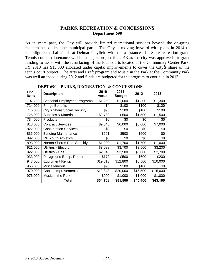# **PARKS, RECREATION & CONCESSIONS Department 690**

As in years past, the City will provide limited recreational services beyond the on-going maintenance of its nine municipal parks. The City is moving forward with plans in 2014 to reconfigure the ball fields at Delmar Playfield with the assistance of a State recreation grant. Tennis court maintenance will be a major project for 2013 as the city was approved for grant funding to assist with the resurfacing of the four courts located at the Community Center Park. FY 2013 has \$15,000 allocated under capital improvements to cover the City ts share of the tennis court project. The Arts and Craft program and Music in the Park at the Community Park was well attended during 2012 and funds are budgeted for the program to continue in 2013.

| Line<br>items | <b>Description</b>           | 2010<br><b>Actual</b> | 2011<br><b>Budget</b> | 2012     | 2013     |
|---------------|------------------------------|-----------------------|-----------------------|----------|----------|
| 707.200       | Seasonal Employees Programs  | \$1,259               | \$1,000               | \$1,300  | \$1,300  |
| 714.000       | <b>Fringe Benefits</b>       | -\$4                  | \$100                 | \$100    | \$100    |
| 715.000       | City's Share Social Security | \$96                  | \$100                 | \$100    | \$100    |
| 726.000       | Supplies & Materials         | \$2,730               | \$500                 | \$1,500  | \$1,500  |
| 734.000       | Products                     | \$0                   | \$0                   | \$0      | \$0      |
| 818.000       | <b>Contract Services</b>     | \$9,045               | \$6,000               | \$8,000  | \$7,000  |
| 822.000       | <b>Construction Services</b> | \$0                   | \$0                   | \$0      | \$0      |
| 835.000       | <b>Building Maintenance</b>  | \$691                 | \$500                 | \$500    | \$0      |
| 892.000       | <b>RP Youth Athletics</b>    | \$0                   | \$0                   | \$0      | \$0      |
| 893.000       | Norton Shores Rec. Subsidy   | \$1,900               | \$1,700               | \$1,700  | \$1,000  |
| 921.000       | Utilities - Electric         | \$3,088               | \$3,700               | \$3,500  | \$3,200  |
| 922.000       | Utilities - Gas              | \$2,345               | \$3,500               | \$3,000  | \$2,700  |
| 933.000       | Playground Equip. Repair     | \$172                 | \$500                 | \$600    | \$200    |
| 943.000       | <b>Equipment Rental</b>      | \$19,613              | \$12,800              | \$8,500  | \$10,000 |
| 956.000       | Miscellaneous                | \$90                  | \$100                 | \$100    | \$0      |
| 970.000       | Capital Improvements         | \$12,843              | \$20,000              | \$15,500 | \$15,000 |
| 976.000       | Music in the Park            | \$900                 | \$1,000               | \$1,000  | \$1,000  |
|               | <b>Total</b>                 | \$54,768              | \$51,500              | \$45,400 | \$43,100 |

#### **DEPT 690 – PARKS, RECREATION, & CONCESSIONS**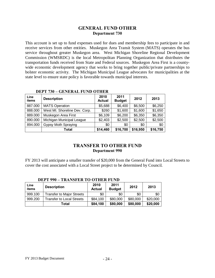# **GENERAL FUND OTHER Department 730**

This account is set up to fund expenses used for dues and membership fees to participate in and receive services from other entities. Muskegon Area Transit System (MATS) operates the bus service throughout greater Muskegon area. West Michigan Shoreline Regional Development Commission (WMSRDC) is the local Metropolitan Planning Organization that distributes the transportation funds received from State and Federal sources. Muskegon Area First is a countywide economic development agency that works to bring together public/private partnerships to bolster economic activity. The Michigan Municipal League advocates for municipalities at the state level to ensure state policy is favorable towards municipal interests.

| Line<br>items | <b>Description</b>            | 2010<br><b>Actual</b> | 2011<br><b>Budget</b> | 2012     | 2013     |
|---------------|-------------------------------|-----------------------|-----------------------|----------|----------|
| 887.000       | <b>MATS Operation</b>         | \$5,688               | \$6,400               | \$6,500  | \$6,250  |
| 888.000       | West MI. Shoreline Dev. Corp. | \$260                 | \$1,600               | \$1,600  | \$1,650  |
| 889.000       | Muskegon Area First           | \$6,109               | \$6,200               | \$6,350  | \$6,350  |
| 890.000       | Michigan Municipal League     | \$2,403               | \$2,500               | \$2,500  | \$2,500  |
| 894.000       | <b>Gypsy Moth Spraying</b>    | \$0                   | \$0                   | \$0      | \$0      |
|               | <b>Total</b>                  | \$14,460              | \$16,700              | \$16,950 | \$16,750 |

#### **DEPT 730 – GENERAL FUND OTHER**

# **TRANSFER TO OTHER FUND Department 990**

FY 2013 will anticipate a smaller transfer of \$20,000 from the General Fund into Local Streets to cover the cost associated with a Local Street project to be determined by Council.

| DEPT 990 – IRANSFER TO OTHER FUND |                                  |                       |                       |          |          |  |
|-----------------------------------|----------------------------------|-----------------------|-----------------------|----------|----------|--|
| Line<br>items                     | <b>Description</b>               | 2010<br><b>Actual</b> | 2011<br><b>Budget</b> | 2012     | 2013     |  |
| 999.100                           | <b>Transfer to Major Streets</b> | \$0                   | \$0                   | \$0      | \$0      |  |
| 999.200                           | <b>Transfer to Local Streets</b> | \$84,100              | \$80,000              | \$80,000 | \$20,000 |  |
|                                   | Total                            | \$84,100              | \$80,000              | \$80,000 | \$20,000 |  |

# **DEPT 990 – TRANSFER TO OTHER FUND**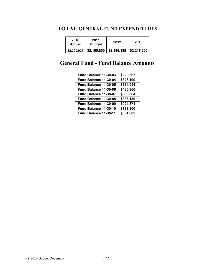# **TOTAL GENERAL FUND EXPENDITURES**

| 2010<br>Actual | 2011<br><b>Budget</b> | 2012                                     | 2013 |
|----------------|-----------------------|------------------------------------------|------|
| \$2,390,927    |                       | $$2,185,800$   \$2,196,135   \$2,217,200 |      |

# **General Fund - Fund Balance Amounts**

| Fund Balance 11-30-03 | \$320,667 |
|-----------------------|-----------|
| Fund Balance 11-30-04 | \$326,190 |
| Fund Balance 11-30-05 | \$364,044 |
| Fund Balance 11-30-06 | \$480,866 |
| Fund Balance 11-30-07 | \$660,864 |
| Fund Balance 11-30-08 | \$836,139 |
| Fund Balance 11-30-09 | \$924,371 |
| Fund Balance 11-30-10 | \$792,300 |
| Fund Balance 11-30-11 | \$854,682 |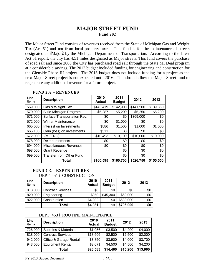# **MAJOR STREET FUND Fund 202**

The Major Street Fund consists of revenues received from the State of Michigan Gas and Weight Tax (Act 51) and not from local property taxes. This fund is for the maintenance of streets designated as  $\tilde{o}$ Major $\tilde{o}$  by the Michigan Department of Transportation. According to the latest Act 51 report, the city has 4.51 miles designated as Major streets. This fund covers the purchase of road salt and since 2008 the City has purchased road salt through the State MI Deal program at a considerable savings. The 2012 budget included funding for engineering and construction for the Glenside Phase III project. The 2013 budget does not include funding for a project as the next Major Street project is not expected until 2016. This should allow the Major Street fund to regenerate any additional revenue for a future project.

| Line<br>items | <b>Description</b>              | 2010<br><b>Actual</b> | 2011<br><b>Budget</b> | 2012      | 2013      |
|---------------|---------------------------------|-----------------------|-----------------------|-----------|-----------|
| 569.000       | Gas & Weight Tax                | \$143,419             | \$142,900             | \$141,500 | \$139,350 |
| 570.000       | <b>Build Michigan Program</b>   | \$5,287               | \$5,200               | \$5,250   | \$5,200   |
| 571.000       | Surface Transportation Rev.     | \$0                   | \$0                   | \$369,000 | \$0       |
| 572.000       | <b>Winter Maintenance</b>       | \$0                   | \$1,000               | \$0       | \$0       |
| 665.000       | Interest on Investments         | \$886                 | \$1,500               | \$1,000   | \$1,000   |
| 665.100       | Gain (loss) on investments      | \$511                 | \$0                   | \$0       | \$0       |
| 672.000       | (METRO)                         | \$10,493              | \$10,100              | \$10,000  | \$10,000  |
| 678.000       | Reimbursements                  | \$0                   | \$0                   | \$0       | \$0       |
| 694.000       | <b>Miscellaneous Revenues</b>   | \$0                   | \$0                   | \$0       | \$0       |
| 698.000       | <b>Grant Revenue</b>            |                       | \$0                   | \$0       | \$0       |
| 699.000       | <b>Transfer from Other Fund</b> |                       | \$0                   | \$0       | \$0       |
|               | Total                           | \$160,595             | \$160,700             | \$526,750 | \$155,550 |

#### **FUND 202 – REVENUES**

#### **FUND 202 – EXPENDITURES**

DEPT. 451 6 CONSTRUCTION

| Line<br>items | <b>Description</b>       | 2010<br><b>Actual</b> | 2011<br><b>Budget</b> | 2012      | 2013 |
|---------------|--------------------------|-----------------------|-----------------------|-----------|------|
| 818.000       | <b>Contract Services</b> | \$0                   | \$0                   | \$0       | \$0  |
| 820.000       | Engineering              | \$950                 | \$45,300              | \$68,000  | \$0  |
| 822.000       | Construction             | \$4,032               | \$0                   | \$638,000 | \$0  |
|               | Total                    | \$4,981               | \$0                   | \$706,000 | \$0  |

#### DEPT. 463 6 ROUTINE MAINTENANCE

| Line<br>items | <b>Description</b>       | 2010<br><b>Actual</b> | 2011<br><b>Budget</b> | 2012     | 2013     |
|---------------|--------------------------|-----------------------|-----------------------|----------|----------|
| 726.000       | Supplies & Materials     | \$1,056               | \$3,500               | \$4,200  | \$4,000  |
| 818.000       | <b>Contract Services</b> | \$18,606              | \$2,500               | \$2,500  | \$2,000  |
| 942.000       | Office & Garage Rental   | \$3,850               | \$3,900               | \$4,000  | \$3,700  |
| 943.000       | <b>Equipment Rental</b>  | \$3,071               | \$4,500               | \$4,500  | \$4,200  |
|               | Total                    | \$26,583              | \$14,400              | \$15,200 | \$13,900 |

 $FY$  2013 Budget Document  $-26$  -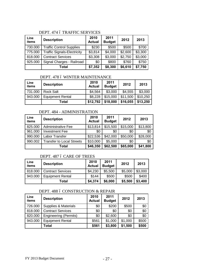# DEPT. 474 ó TRAFFIC SERVICES

| Line<br>items | <b>Description</b>                 | 2010<br><b>Actual</b> | 2011<br><b>Budget</b> | 2012    | 2013    |
|---------------|------------------------------------|-----------------------|-----------------------|---------|---------|
| 730.000       | <b>Traffic Control Supplies</b>    | \$230                 | \$500                 | \$500   | \$700   |
| 775.000       | <b>Traffic Signals-Electricity</b> | \$3,814               | \$4,000               | \$2,600 | \$3,300 |
| 818.000       | <b>Contract Services</b>           | \$3,308               | \$3,000               | \$2,750 | \$3,000 |
| 925.000       | Signal Charges - Railroad          | \$0                   | \$800                 | \$760   | \$750   |
|               | Total                              | \$7,352               | \$8,300               | \$6,610 | \$7,750 |

#### DEPT. 478 6 WINTER MAINTENANCE

| Line<br>items | <b>Description</b>      | 2010<br><b>Actual</b> | 2011<br><b>Budget</b> | 2012     | 2013     |
|---------------|-------------------------|-----------------------|-----------------------|----------|----------|
| 731.000       | <b>Rock Salt</b>        | \$4,564               | \$3,000               | \$4,555  | \$3,000  |
| 943.000       | <b>Equipment Rental</b> | \$8,228               | \$15,000              | \$11,500 | \$10,250 |
|               | Total                   | \$12,792              | \$18,000              | \$16,055 | \$13,250 |

#### DEPT. 484 - ADMINISTRATION

| Line<br>items | <b>Description</b>               | 2010<br><b>Actual</b> | 2011<br><b>Budget</b> | 2012     | 2013     |
|---------------|----------------------------------|-----------------------|-----------------------|----------|----------|
| 825.000       | <b>Administrative Fee</b>        | \$13,814              | \$15,500              | \$15,000 | \$13,800 |
| 961.000       | <b>Investment Fee</b>            | \$0                   | \$0                   | \$0      | \$0      |
| 990.000       | Labor Transfer                   | \$22,536              | \$42,000              | \$50,000 | \$28,000 |
| 990.002       | <b>Transfer to Local Streets</b> | \$10,000              | \$5,000               | \$0      | \$0      |
|               | Total                            | \$46,350              | \$62,500              | \$65,000 | \$41,800 |

#### DEPT. 487 ó CARE OF TREES

| Line<br>items | <b>Description</b>       | 2010<br><b>Actual</b> | 2011<br><b>Budget</b> | 2012    | 2013    |
|---------------|--------------------------|-----------------------|-----------------------|---------|---------|
| 818.000       | <b>Contract Services</b> | \$4,230               | \$5,500               | \$5,000 | \$3,000 |
| 943.000       | <b>Equipment Rental</b>  | \$144                 | \$500                 | \$500   | \$400   |
|               | Total                    | \$4,374               | \$6,000               | \$5,500 | \$3,400 |

#### DEPT. 488 ó CONSTRUCTION & REPAIR

| Line<br>items | <b>Description</b>           | 2010<br><b>Actual</b> | 2011<br><b>Budget</b> | 2012    | 2013  |
|---------------|------------------------------|-----------------------|-----------------------|---------|-------|
| 726.000       | Supplies & Materials         | \$0                   | \$200                 | \$500   | \$0   |
| 818.000       | <b>Contract Services</b>     | \$0                   | \$0                   | \$0     | \$0   |
| 820.000       | <b>Engineering (Permits)</b> | \$0                   | \$2,600               | \$0     | \$0   |
| 943.000       | <b>Equipment Rental</b>      | \$561                 | \$1,000               | \$1,000 | \$500 |
|               | Total                        | \$561                 | \$3,800               | \$1,500 | \$500 |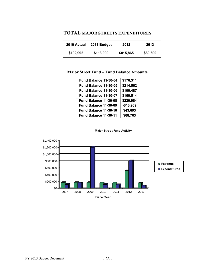# **TOTAL MAJOR STREETS EXPENDITURES**

| 2010 Actual | 2011 Budget | 2012      | 2013     |
|-------------|-------------|-----------|----------|
| \$102,992   | \$113,000   | \$815,865 | \$80,600 |

# **Major Street Fund – Fund Balance Amounts**

| Fund Balance 11-30-04 | \$176,311  |
|-----------------------|------------|
| Fund Balance 11-30-05 | \$214,562  |
| Fund Balance 11-30-06 | \$100,487  |
| Fund Balance 11-30-07 | \$160,514  |
| Fund Balance 11-30-08 | \$220,984  |
| Fund Balance 11-30-09 | $-$13,909$ |
| Fund Balance 11-30-10 | \$43,693   |
| Fund Balance 11-30-11 | \$68,763   |



#### **Major Street Fund Activity**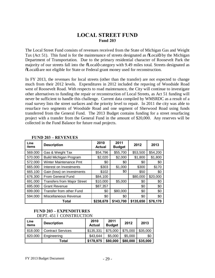# **LOCAL STREET FUND Fund 203**

The Local Street Fund consists of revenues received from the State of Michigan Gas and Weight Tax (Act 51). This fund is for the maintenance of streets designated as  $\tilde{\text{o}}$ Local by the Michigan Department of Transportation. Due to the primary residential character of Roosevelt Park the majority of our streets fall into the  $\delta$ Localo category with 9.49 miles total. Streets designated as  $\delta$ Localo are not eligible for State or Federal grant money used for reconstruction.

In FY 2013, the revenues for local streets (other than the transfer) are not expected to change much from their 2012 levels. Expenditures in 2012 included the repaving of Woodside Road west of Roosevelt Road. With respects to road maintenance, the City will continue to investigate other alternatives to funding the repair or reconstruction of Local Streets, as Act 51 funding will never be sufficient to handle this challenge. Current data compiled by WMSRDC as a result of a road survey lists the street surfaces and the priority level to repair. In 2011 the city was able to resurface two segments of Woodside Road and one segment of Sherwood Road using funds transferred from the General Fund. The 2013 Budget contains funding for a street resurfacing project with a transfer from the General Fund in the amount of \$20,000. Any reserves will be collected in the Fund Balance for future road projects.

| Line<br>items | <b>Description</b>                 | 2010<br><b>Actual</b> | 2011<br><b>Budget</b> | 2012      | 2013     |
|---------------|------------------------------------|-----------------------|-----------------------|-----------|----------|
| 569.000       | Gas & Weight Tax                   | \$54,796              | \$55,700              | \$53,500  | \$54,200 |
| 570.000       | <b>Build Michigan Program</b>      | \$2,020               | \$2,000               | \$1,800   | \$1,800  |
| 572.000       | <b>Winter Maintenance Pmt</b>      | \$0                   | \$0                   | \$0       | \$0      |
| 665.000       | Interest on Investments            | \$303                 | \$1,000               | \$300     | \$170    |
| 665.100       | Gain (loss) on investments         | \$102                 | \$0                   | \$50      | \$0      |
| 676.300       | From General Fund                  | \$84,100              |                       | \$80,000  | \$20,000 |
| 691.000       | <b>Transfers from Major Street</b> | \$10,000              | \$5,000               | \$0       | \$0      |
| 695.000       | <b>Grant Revenue</b>               | \$87,357              |                       | \$0       | \$0      |
| 699.000       | Transfer from other Fund           | \$0                   | \$80,000              | \$0       | \$0      |
| 594.000       | Miscellaneous Revenue              | \$0                   | \$0                   | \$0       | \$0      |
|               | Total                              | \$238,678             | \$143,700             | \$135,650 | \$76,170 |

#### **FUND 203 – REVENUES**

#### **FUND 203 – EXPENDITURES**  DEPT. 451 6 CONSTRUCTION

| Line<br>items | <b>Description</b>       | 2010<br><b>Actual</b> | 2011<br><b>Budget</b> | 2012     | 2013     |
|---------------|--------------------------|-----------------------|-----------------------|----------|----------|
| 818.000       | <b>Contract Services</b> | \$135,331             | \$75,000              | \$75,000 | \$35,000 |
| 820.000       | Engineering              | \$43,644              | \$5,000               | \$5,000  | \$0      |
|               | Total                    | \$178,975             | \$80,000              | \$80,000 | \$35,000 |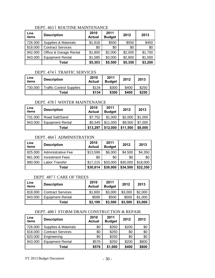#### DEPT. 463 6 ROUTINE MAINTENANCE

| Line<br>items | <b>Description</b>              | 2010<br><b>Actual</b> | 2011<br><b>Budget</b> | 2012    | 2013    |
|---------------|---------------------------------|-----------------------|-----------------------|---------|---------|
| 726.000       | <b>Supplies &amp; Materials</b> | \$1,918               | \$500                 | \$550   | \$450   |
| 818.000       | <b>Contract Services</b>        | \$0                   | \$0                   | \$0     | \$0     |
| 942.000       | Office & Garage Rental          | \$1,800               | \$2,000               | \$2,000 | \$1,750 |
| 943.000       | <b>Equipment Rental</b>         | \$1,585               | \$3,000               | \$2,800 | \$1,000 |
|               | Total                           | \$5,303               | \$5,500               | \$5,350 | \$3,200 |

# DEPT. 474 ó TRAFFIC SERVICES

| Line<br>items | <b>Description</b>              | 2010<br><b>Actual</b> | 2011<br><b>Budget</b> | 2012  | 2013  |
|---------------|---------------------------------|-----------------------|-----------------------|-------|-------|
| 730.000       | <b>Traffic Control Supplies</b> | \$134                 | \$300                 | \$400 | \$250 |
|               | Total                           | \$134                 | \$300                 | \$400 | \$250 |

#### DEPT. 478 6 WINTER MAINTENANCE

| Line<br>items | <b>Description</b>      | 2010<br><b>Actual</b> | 2011<br><b>Budget</b> | 2012     | 2013    |
|---------------|-------------------------|-----------------------|-----------------------|----------|---------|
| 731.000       | Road Salt/Sand          | \$7,752               | \$1,000               | \$2,000  | \$1,000 |
| 943.000       | <b>Equipment Rental</b> | \$5,545               | \$11,000              | \$9,500  | \$7,000 |
|               | Total                   | \$13,297              | \$12,000              | \$11,500 | \$8,000 |

# DEPT. 484 ó ADMINISTRATION

| Line<br>items | <b>Description</b>     | 2010<br><b>Actual</b> | 2011<br><b>Budget</b> | 2012     | 2013     |
|---------------|------------------------|-----------------------|-----------------------|----------|----------|
| 825.000       | Administrative Fee     | \$13,599              | \$6,000               | \$4,500  | \$4,350  |
| 961.000       | <b>Investment Fees</b> | \$0                   | \$0                   | \$0      | \$0      |
| 990.000       | Labor Transfer         | \$17,215              | \$33,000              | \$30,000 | \$18,000 |
|               | Total                  | \$30,814              | \$39,000              | \$34,500 | \$22,350 |

#### DEPT. 487 ó CARE OF TREES

| Line<br>items | <b>Description</b>       | 2010<br><b>Actual</b> | 2011<br><b>Budget</b> | 2012    | 2013    |
|---------------|--------------------------|-----------------------|-----------------------|---------|---------|
| 818.000       | <b>Contract Services</b> | \$1,600               | \$3,000               | \$3,000 | \$2,000 |
| 943.000       | <b>Equipment Rental</b>  | \$599                 | \$500                 | \$500   | \$1,000 |
|               | Total                    | \$2,199               | \$3,500               | \$3,500 | \$3,000 |

#### DEPT. 488 6 STORM DRAIN CONSTRUCTION & REPAIR

| Line<br>items | <b>Description</b>              | 2010<br><b>Actual</b> | 2011<br><b>Budget</b> | 2012  | 2013  |
|---------------|---------------------------------|-----------------------|-----------------------|-------|-------|
| 726.000       | <b>Supplies &amp; Materials</b> | \$0                   | \$250                 | \$200 | \$0   |
| 818.000       | <b>Contract Services</b>        | \$0                   | \$250                 | \$0   | \$0   |
| 820.000       | Engineering                     | \$0                   | \$250                 | \$0   | \$0   |
| 943.000       | <b>Equipment Rental</b>         | \$576                 | \$250                 | \$200 | \$800 |
|               | Total                           | \$576                 | \$1,000               | \$400 | \$800 |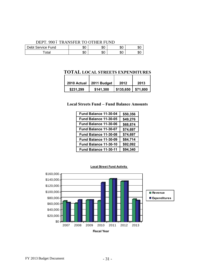#### DEPT. 990 6 TRANSFER TO OTHER FUND

| Debt Service Fund | ≛∽<br>υU | ሱስ<br>৩৬  | ሖ<br>JU. | . ക്ര    |
|-------------------|----------|-----------|----------|----------|
| ™ota⊩             | ΦU       | ሮሰ<br>DU. | ጡ<br>ΦU  | œ٬<br>งเ |

# **TOTAL LOCAL STREETS EXPENDITURES**

| 2010 Actual | 2011 Budget | 2012      | 2013     |
|-------------|-------------|-----------|----------|
| \$231,299   | \$141,300   | \$135,650 | \$71,800 |

#### **Local Streets Fund – Fund Balance Amounts**

| Fund Balance 11-30-04 | \$50,356 |
|-----------------------|----------|
| Fund Balance 11-30-05 | \$49,276 |
| Fund Balance 11-30-06 | \$68,874 |
| Fund Balance 11-30-07 | \$74,697 |
| Fund Balance 11-30-08 | \$74,697 |
| Fund Balance 11-30-09 | \$84,714 |
| Fund Balance 11-30-10 | \$92,092 |
| Fund Balance 11-30-11 | \$94,340 |

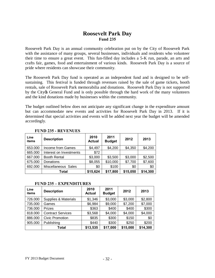# **Roosevelt Park Day Fund 235**

Roosevelt Park Day is an annual community celebration put on by the City of Roosevelt Park with the assistance of many groups, several businesses, individuals and residents who volunteer their time to ensure a great event. This fun-filled day includes a 5-K run, parade, an arts and crafts fair, games, food and entertainment of various kinds. Roosevelt Park Day is a source of pride where residents can showcase their community.

The Roosevelt Park Day fund is operated as an independent fund and is designed to be selfsustaining. This festival is funded through revenues raised by the sale of game tickets, booth rentals, sale of Roosevelt Park memorabilia and donations. Roosevelt Park Day is not supported by the City & General Fund and is only possible through the hard work of the many volunteers and the kind donations made by businesses within the community.

The budget outlined below does not anticipate any significant change in the expenditure amount but can accommodate new events and activities for Roosevelt Park Day in 2013. If it is determined that special activities and events will be added next year the budget will be amended accordingly.

| Line<br>items | <b>Description</b>      | 2010<br><b>Actual</b> | 2011<br><b>Budget</b> | 2012     | 2013     |
|---------------|-------------------------|-----------------------|-----------------------|----------|----------|
| 653.000       | Income from Games       | \$4,497               | \$4,200               | \$4,350  | \$4,200  |
| 665.000       | Interest on Investments | \$72                  |                       |          |          |
| 667.000       | <b>Booth Rental</b>     | \$3,000               | \$3,500               | \$3,000  | \$2,500  |
| 675.000       | Donations               | \$8,055               | \$10,000              | \$7,700  | \$7,600  |
| 692.000       | Miscellaneous Sales     | \$0                   | \$100                 | \$0      | \$0      |
|               | Total                   | \$15,624              | \$17,800              | \$15,050 | \$14,300 |

#### **FUND 235 - REVENUES**

#### **FUND 235 – EXPENDITURES**

| Line<br>items | <b>Description</b>       | 2010<br><b>Actual</b> | 2011<br><b>Budget</b> | 2012     | 2013     |
|---------------|--------------------------|-----------------------|-----------------------|----------|----------|
| 726.000       | Supplies & Materials     | \$1,346               | \$3,000               | \$3,000  | \$2,800  |
| 735.000       | Games                    | \$6,984               | \$9,000               | \$7,200  | \$7,000  |
| 736.000       | Prizes                   | \$363                 | \$400                 | \$400    | \$300    |
| 818.000       | <b>Contract Services</b> | \$3,568               | \$4,000               | \$4,000  | \$4,000  |
| 886.000       | <b>Civic Promotion</b>   | \$835                 | \$300                 | \$150    | \$0      |
| 905.000       | Publishing               | \$440                 | \$300                 | \$250    | \$200    |
|               | Total                    | \$13,535              | \$17,000              | \$15,000 | \$14,300 |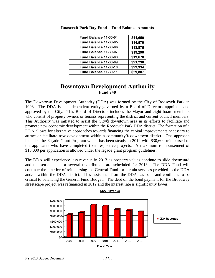| Fund Balance 11-30-04        | \$11,650 |
|------------------------------|----------|
| <b>Fund Balance 11-30-05</b> | \$14,570 |
| <b>Fund Balance 11-30-06</b> | \$13,875 |
| <b>Fund Balance 11-30-07</b> | \$19,290 |
| Fund Balance 11-30-08        | \$19,678 |
| <b>Fund Balance 11-30-09</b> | \$21,290 |
| Fund Balance 11-30-10        | \$29,934 |
| Fund Balance 11-30-11        | \$29,887 |
|                              |          |

**Roosevelt Park Day Fund – Fund Balance Amounts**

# **Downtown Development Authority Fund 248**

The Downtown Development Authority (DDA) was formed by the City of Roosevelt Park in 1998. The DDA is an independent entity governed by a Board of Directors appointed and approved by the City. This Board of Directors includes the Mayor and eight board members who consist of property owners or tenants representing the district and current council members. This Authority was initiated to assist the City of downtown area in its efforts to facilitate and promote new economic development within the Roosevelt Park DDA district. The formation of a DDA allows for alternative approaches towards financing the capital improvements necessary to attract or facilitate new development within a community to downtown district. One approach includes the Façade Grant Program which has been steady in 2012 with \$30,600 reimbursed to the applicants who have completed their respective projects. A maximum reimbursement of \$15,000 per application is allowed under the façade grant program guidelines.

The DDA will experience less revenue in 2013 as property values continue to slide downward and the settlements for several tax tribunals are scheduled for 2013. The DDA Fund will continue the practice of reimbursing the General Fund for certain services provided to the DDA and/or within the DDA district. This assistance from the DDA has been and continues to be critical to balancing the General Fund Budget. The debt on the bond payment for the Broadway streetscape project was refinanced in 2012 and the interest rate is significantly lower.



**DDA Revenue**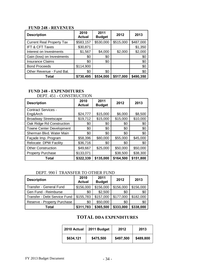# **FUND 248 - REVENUES**

| <b>Description</b>               | 2010<br><b>Actual</b> | 2011<br><b>Budget</b> | 2012      | 2013      |
|----------------------------------|-----------------------|-----------------------|-----------|-----------|
| <b>Current Real Property Tax</b> | \$583,157             | \$530,000             | \$515,000 | \$487,000 |
| <b>IFT &amp; CFT Taxes</b>       | \$30,871              |                       |           | \$1,350   |
| Interest on Investments          | \$1,567               | \$4,000               | \$2,000   | \$2,000   |
| Gain (loss) on Investments       | \$0                   | \$0                   |           | \$0       |
| <b>Insurance Claims</b>          | \$0                   | \$0                   |           | \$0       |
| <b>Bond Proceeds</b>             | \$114,900             |                       |           | \$0       |
| Other Revenue - Fund Bal.        | \$0                   | \$0                   |           | \$0       |
| Total                            | \$730,495             | \$534,000             | \$517,000 | \$490,350 |

# **FUND 248 - EXPENDITURES**

DEPT. 451 - CONSTRUCTION

| <b>Description</b>              | 2010<br><b>Actual</b> | 2011<br><b>Budget</b> | 2012      | 2013      |
|---------------------------------|-----------------------|-----------------------|-----------|-----------|
| <b>Contract Services -</b>      |                       |                       |           |           |
| Eng&Arch                        | \$24,777              | \$15,000              | \$6,000   | \$8,500   |
| <b>Broadway Streetscape</b>     | \$19,712              | \$15,000              | \$15,000  | \$10,000  |
| Oak Ridge Rd Construction       | \$0                   | \$0                   | \$0       | \$0       |
| <b>Towne Center Development</b> | \$0                   | \$0                   | \$0       | \$0       |
| Sherman Blvd. Water Main        | \$0                   | \$0                   | \$0       | \$0       |
| Façade Imp. Program             | \$58,396              | \$80,000              | \$55,000  | \$45,000  |
| Relocate DPW Facility           | \$36,716              | \$0                   | \$0       | \$0       |
| <b>Other Construction</b>       | \$49,667              | \$25,000              | \$50,000  | \$50,000  |
| <b>Property Purchase</b>        | \$133,071             |                       | \$38,500  | \$38,300  |
| Total                           | \$322,339             | \$135,000             | \$164,500 | \$151,800 |

# DEPT. 990 6 TRANSFER TO OTHER FUND

| <b>Description</b>           | 2010<br><b>Actual</b> | 2011<br><b>Budget</b> | 2012      | 2013      |
|------------------------------|-----------------------|-----------------------|-----------|-----------|
| Transfer - General Fund      | \$156,000             | \$156,000             | \$156,000 | \$156,000 |
| Gen Fund - Reimburse         | \$0                   | \$2,500               | \$0       | \$0       |
| Transfer - Debt Service Fund | \$155,783             | \$157,000             | \$177,000 | \$182,000 |
| Reserve - Property Purchase  | \$0                   | \$50,000              | \$0       | \$0       |
| Total                        | \$311,783             | \$365,500             | \$333,000 | \$338,000 |

# **TOTAL DDA EXPENDITURES**

| 2010 Actual | 2011 Budget | 2012      | 2013      |
|-------------|-------------|-----------|-----------|
| \$634,121   | \$475,500   | \$497,500 | \$489,800 |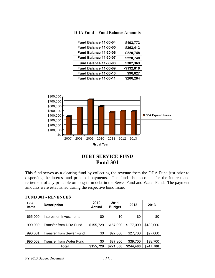| Fund Balance 11-30-04 | \$103,773   |
|-----------------------|-------------|
| Fund Balance 11-30-05 | \$363,413   |
| Fund Balance 11-30-06 | \$220,748   |
| Fund Balance 11-30-07 | \$220,748   |
| Fund Balance 11-30-08 | \$302,369   |
| Fund Balance 11-30-09 | $-$132,810$ |
| Fund Balance 11-30-10 | \$96,627    |
| Fund Balance 11-30-11 | \$206,284   |

**DDA Fund – Fund Balance Amounts**



# **DEBT SERVICE FUND Fund 301**

This fund serves as a clearing fund by collecting the revenue from the DDA Fund just prior to dispersing the interest and principal payments. The fund also accounts for the interest and retirement of any principle on long-term debt in the Sewer Fund and Water Fund.The payment amounts were established during the respective bond issue.

| <b>Line</b><br>items | <b>Description</b>              | 2010<br><b>Actual</b> | 2011<br><b>Budget</b> | 2012      | 2013      |
|----------------------|---------------------------------|-----------------------|-----------------------|-----------|-----------|
| 665.000              | Interest on Investments         | \$0                   | \$0                   | \$0       | \$0       |
| 990.000              | Transfer from DDA Fund          | \$155,729             | \$157,000             | \$177,000 | \$182,000 |
| 990.001              | <b>Transfer from Sewer Fund</b> | \$0                   | \$27,000              | \$27,700  | \$27,000  |
| 990.002              | <b>Transfer from Water Fund</b> | \$0                   | \$37,800              | \$39,700  | \$38,700  |
|                      | Total                           | \$155,729             | \$221,800             | \$244,400 | \$247,700 |

|  | <b>FUND 301 - REVENUES</b> |
|--|----------------------------|
|--|----------------------------|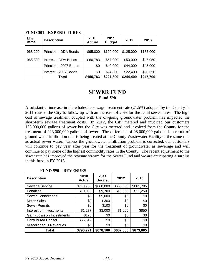| Line<br>items | <b>Description</b>     | 2010<br><b>Actual</b> | 2011<br><b>Budget</b> | 2012      | 2013      |
|---------------|------------------------|-----------------------|-----------------------|-----------|-----------|
| 968.200       | Principal - DDA Bonds  | \$95,000              | \$100,000             | \$125,000 | \$135,000 |
| 968.300       | Interest - DDA Bonds   | \$60,783              | \$57,000              | \$53,000  | \$47,050  |
|               | Principal - 2007 Bonds | \$0                   | \$40,000              | \$44,000  | \$45,000  |
|               | Interest - 2007 Bonds  | \$0                   | \$24,800              | \$22,400  | \$20,650  |
|               | Total                  | \$155,783             | \$221,800             | \$244,400 | \$247,700 |

#### **FUND 301 - EXPENDITURES**

# **SEWER FUND Fund 590**

A substantial increase in the wholesale sewage treatment rate (21.5%) adopted by the County in 2011 caused the City to follow up with an increase of 20% for the retail sewer rates. The high cost of sewage treatment coupled with the on-going groundwater problem has impacted the short-term sewage treatment costs. In 2012, the City metered and invoiced our customers 125,000,000 gallons of sewer but the City was metered and invoiced from the County for the treatment of 223,000,000 gallons of sewer. The difference of 98,000,000 gallons is a result of ground water infiltration that is being treated at the County Wastewater Facility at the same rate as actual sewer water. Unless the groundwater infiltration problem is corrected, our customers will continue to pay year after year for the treatment of groundwater as sewerage and will continue to pay some of the highest commodity rates in the County. The recent adjustment to the sewer rate has improved the revenue stream for the Sewer Fund and we are anticipating a surplus in this fund in FY 2013.

| <b>Description</b>         | 2010<br><b>Actual</b> | 2011<br><b>Budget</b> | 2012      | 2013      |
|----------------------------|-----------------------|-----------------------|-----------|-----------|
| Sewage Service             | \$713,765             | \$660,000             | \$656,000 | \$861,705 |
| <b>Penalties</b>           | \$10,033              | \$9,700               | \$10,000  | \$11,250  |
| <b>Sewer Connections</b>   | \$0                   | \$5,000               | \$0       | \$0       |
| <b>Meter Sales</b>         | \$0                   | \$300                 | \$0       | \$0       |
| <b>Sewer Permits</b>       | \$0                   | \$100                 | \$0       | \$0       |
| Interest on Investments    | \$1,277               | \$3,000               | \$1,000   | \$850     |
| Gain (Loss) on Investments | \$178                 | \$0                   | \$0       | \$0       |
| <b>Contributed Capital</b> | \$65,519              | \$0                   | \$0       | \$0       |
| Miscellaneous Revenues     | \$0                   | \$0                   | \$0       | \$0       |
| Total                      | \$790,771             | \$678,100             | \$667,000 | \$873,805 |

#### **FUND 590 – REVENUES**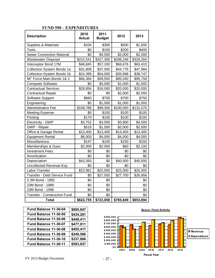| <b>Description</b>                  | 2010<br><b>Actual</b> | 2011<br><b>Budget</b> | 2012      | 2013      |
|-------------------------------------|-----------------------|-----------------------|-----------|-----------|
| Supplies & Materials                | \$104                 | \$300                 | \$500     | \$1,500   |
| <b>Tools</b>                        | \$0                   | \$100                 | \$200     | \$400     |
| <b>Sewer Connection Material</b>    | \$0                   | \$4,000               | \$3,000   | \$2,000   |
| <b>Wastewater Disposal</b>          | \$222,541             | \$327,300             | \$298,249 | \$329,264 |
| Interceptor Bond 17M                | \$46,845              | \$57,100              | \$66,676  | \$63,415  |
| <b>Collection System Bonds 1a</b>   | \$31,808              | \$37,500              | \$44,776  | \$47,984  |
| <b>Collection System Bonds 1b</b>   | \$24,399              | \$54,000              | \$35,698  | \$38,747  |
| 66" Force Main Bonds 1& 2           | \$66,384              | \$49,500              | \$95,040  | \$95,758  |
| <b>Computer Software</b>            | \$0                   | \$4,000               | \$1,000   | \$1,000   |
| <b>Contractual Services</b>         | \$28,856              | \$16,000              | \$20,000  | \$20,000  |
| <b>Contractual Repair</b>           | \$0                   | \$0                   | \$2,000   | \$2,000   |
| Software Support                    | \$660                 | \$700                 | \$750     | \$750     |
| Engineering                         | \$0                   | \$1,000               | \$1,000   | \$1,000   |
| <b>Administrative Fee</b>           | \$108,788             | \$99,300              | \$100,050 | \$131,070 |
| <b>Meeting Expense</b>              | \$0                   | \$100                 | \$100     | \$100     |
| Printing                            | \$179                 | \$100                 | \$100     | \$100     |
| Electricity - GWP                   | \$3,752               | \$3,500               | \$3,900   | \$4,500   |
| GWP - Repair                        | \$519                 | \$1,500               | \$2,000   | \$2,000   |
| Office & Garage Rental              | \$13,400              | \$13,400              | \$13,400  | \$13,400  |
| <b>Equipment Rental</b>             | \$6,000               | \$4,000               | \$4,000   | \$4,000   |
| Miscellaneous                       | \$147                 | \$100                 | \$150     | \$150     |
| Memberships & Dues                  | \$2,000               | \$2,000               | \$60      | \$2,100   |
| <b>Investment Fees</b>              | \$0                   | \$0                   | \$0       | \$0       |
| Amoritzation                        | \$0                   | \$0                   | \$0       | \$0       |
| Depreciation                        | \$43,393              | \$0                   | \$40,500  | \$40,500  |
| Uncollected Revenue Exp.            | \$0                   | \$0                   | \$0       | \$0       |
| Labor Transfer                      | \$22,981              | \$20,500              | \$25,000  | \$25,000  |
| Transfer - Debt Service Fund        | \$0                   | \$27,050              | \$27,700  | \$26,956  |
| 2.3M Bond - 1992                    | \$0                   | \$0                   |           | \$0       |
| 23M Bond - 1989                     | \$0                   | \$0                   |           | \$0       |
| 23M Bond - 1996                     | \$0                   | \$0                   |           | \$0       |
| <b>Transfer - Construction Fund</b> | \$0                   | \$0                   |           | \$0       |
| <b>Total</b>                        | \$622,755             | \$723,050             | \$785,849 | \$853,694 |

# **FUND 590 – EXPENDITURES**

| Fund Balance 11-30-04 | \$665,847 |
|-----------------------|-----------|
| Fund Balance 11-30-05 | \$434,281 |
| Fund Balance 11-30-06 | \$448,411 |
| Fund Balance 11-30-07 | \$477,011 |
| Fund Balance 11-30-08 | \$455,417 |
| Fund Balance 11-30-09 | \$240,566 |
| Fund Balance 11-30-10 | \$337,886 |
| Fund Balance 11-30-11 | \$593,837 |
|                       |           |

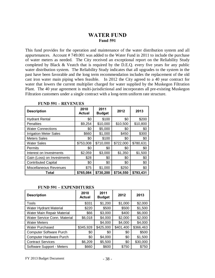# **WATER FUND Fund 591**

This fund provides for the operation and maintenance of the water distribution system and all appurtenances. Account # 749.001 was added to the Water Fund in 2011 to include the purchase of water meters as needed. The City received an exceptional report on the Reliability Study completed by Black & Veatch that is required by the D.E.Q. every five years for any public water distribution system. The Reliability Study indicates that all upgrades to the system in the past have been favorable and the long term recommendation includes the replacement of the old cast iron water main piping when feasible. In 2012 the City agreed to a 40 year contract for water that lowers the current multiplier charged for water supplied by the Muskegon Filtration Plant. The 40 year agreement is multi-jurisdictional and incorporates all pre-existing Muskegon Filtration customers under a single contract with a long-term uniform rate structure.

| <b>Description</b>            | 2010<br><b>Actual</b> | 2011<br><b>Budget</b> | 2012      | 2013      |
|-------------------------------|-----------------------|-----------------------|-----------|-----------|
| <b>Hydrant Rental</b>         | \$0                   | \$100                 | \$0       | \$200     |
| <b>Penalties</b>              | \$9,254               | \$10,000              | \$10,500  | \$10,800  |
| <b>Water Connections</b>      | \$0                   | \$5,000               | \$0       | \$0       |
| <b>Irrigation Meter Sales</b> | \$660                 | \$1,000               | \$450     | \$300     |
| <b>Meters Sales</b>           | \$0                   | \$100                 | \$0       | \$0       |
| <b>Water Sales</b>            | \$753,008             | \$710,000             | \$722,000 | \$780,631 |
| Permits                       | \$0                   | \$0                   | \$0       | \$0       |
| Interest on Investments       | \$2,059               | \$3,000               | \$1,350   | \$1,500   |
| Gain (Loss) on Investments    | \$28                  | \$0                   | \$0       | \$0       |
| <b>Contributed Capital</b>    | \$0                   | \$0                   | \$0       | \$0       |
| Miscellaneous Revenues        | \$75                  | \$1,000               | \$250     | \$0       |
| Total                         | \$765,084             | \$730,200             | \$734,550 | \$793,431 |

**FUND 591 – REVENUES** 

#### **FUND 591 – EXPENDITURES**

| <b>Description</b>             | 2010<br><b>Actual</b> | 2011<br><b>Budget</b> | 2012      | 2013      |
|--------------------------------|-----------------------|-----------------------|-----------|-----------|
| Tools                          | \$331                 | \$1,200               | \$1,000   | \$2,000   |
| Water Hydrant Material         | \$220                 | \$500                 | \$500     | \$1,500   |
| Water Main Repair Material     | \$66                  | \$3,000               | \$400     | \$6,000   |
| Water Service Conn. Material   | \$6,018               | \$4,000               | \$2,000   | \$2,000   |
| <b>Water Meters</b>            |                       | \$4,000               | \$4,000   | \$4,000   |
| <b>Water Purchased</b>         | \$345,928             | \$425,000             | \$401,400 | \$366,463 |
| <b>Computer Software Purch</b> | \$0                   | \$0                   | \$0       | \$500     |
| Computer Hardware Purch        | \$0                   | \$4,000               | \$0       | \$1,500   |
| <b>Contract Services</b>       | \$6,209               | \$5,500               | \$0       | \$30,000  |
| Software Support - Meters      | \$660                 | \$600                 | \$750     | \$750     |

FY 2013 Budget Document - 38 -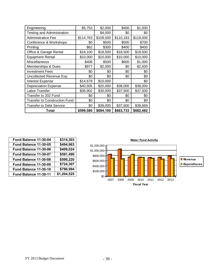| Engineering                          | \$5,753   | \$2,000   | \$400     | \$1,500   |
|--------------------------------------|-----------|-----------|-----------|-----------|
| <b>Testing and Administration</b>    |           | \$4,000   | \$0       | \$0       |
| <b>Administrative Fee</b>            | \$114,763 | \$109,500 | \$110,183 | \$119,000 |
| Conference & Workshops               | \$0       | \$500     | \$500     | \$700     |
| Printing                             | \$62      | \$300     | \$400     | \$400     |
| Office & Garage Rental               | \$16,100  | \$18,500  | \$18,500  | \$18,500  |
| <b>Equipment Rental</b>              | \$10,000  | \$10,000  | \$10,000  | \$10,000  |
| Miscellaneous                        | \$408     | \$500     | \$600     | \$1,000   |
| Memberships & Dues                   | \$977     | \$2,000   | \$0       | \$2,500   |
| <b>Investment Fees</b>               | \$0       | \$0       | \$0       | \$0       |
| <b>Uncollected Revenue Exp</b>       | \$0       | \$0       | \$0       | \$0       |
| <b>Interest Expense</b>              | \$14,678  | \$10,000  |           | \$0       |
| <b>Depreciation Expense</b>          | \$40,505  | \$20,000  | \$38,000  | \$38,000  |
| Labor Transfer                       | \$36,902  | \$30,000  | \$37,500  | \$37,500  |
| Transfer to 202 Fund                 | \$0       | \$0       | \$0       | \$0       |
| <b>Transfer to Construction Fund</b> | \$0       | \$0       | \$0       | \$0       |
| <b>Transfer to Debt Service</b>      | \$0       | \$39,000  | \$37,600  | \$38,669  |
| Total                                | \$599,580 | \$694,100 | \$663,733 | \$682,482 |

| Fund Balance 11-30-04 | \$314,303   |             |
|-----------------------|-------------|-------------|
| Fund Balance 11-30-05 | \$494,963   | \$1,200,000 |
| Fund Balance 11-30-06 | \$409,024   | \$1,000,000 |
| Fund Balance 11-30-07 | \$591,499   | \$800,000   |
| Fund Balance 11-30-08 | \$590,220   | \$600,000   |
| Fund Balance 11-30-09 | \$724,307   | \$400,000   |
| Fund Balance 11-30-10 | \$796,994   | \$200,000   |
| Fund Balance 11-30-11 | \$1,204,525 | \$0         |
|                       |             |             |

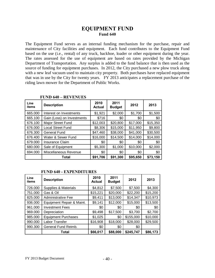# **EQUIPMENT FUND Fund 640**

The Equipment Fund serves as an internal funding mechanism for the purchase, repair and maintenance of City facilities and equipment. Each fund contributes to the Equipment Fund based on the use (i.e., rental) of any truck, backhoe, loader or other equipment during the year. The rates assessed for the use of equipment are based on rates provided by the Michigan Department of Transportation. Any surplus is added to the fund balance that is then used as the source of funding for equipment purchases. In 2012, the City purchased a new plow truck along with a new leaf vacuum used to maintain city property. Both purchases have replaced equipment that was in use by the City for twenty years. FY 2013 anticipates a replacement purchase of the riding lawn mower for the Department of Public Works.

| Line<br>items | <b>Description</b>         | 2010<br><b>Actual</b> | 2011<br><b>Budget</b> | 2012     | 2013     |
|---------------|----------------------------|-----------------------|-----------------------|----------|----------|
| 665.000       | Interest on Investments    | \$1,921               | \$2,000               | \$1,700  | \$1,500  |
| 665.100       | Gain (Loss) on Investments | \$716                 | \$0                   | \$0      | \$0      |
| 676.100       | Major Street Fund          | \$12,003              | \$20,800              | \$17,000 | \$15,350 |
| 676.000       | <b>Local Street Fund</b>   | \$8,306               | \$15,000              | \$11,950 | \$9,800  |
| 676.300       | General Fund               | \$47,460              | \$38,000              | \$41,000 | \$30,500 |
| 676.400       | Water & Sewer Fund         | \$16,000              | \$14,500              | \$14,000 | \$14,000 |
| 679.000       | <b>Insurance Claim</b>     | \$0                   | \$0                   | \$0      | \$0      |
| 680.000       | Sale of Equipment          | \$5,300               | \$1,000               | \$10,000 | \$2,000  |
| 694.000       | Miscellaneous Revenue      | \$0                   | \$0                   | \$0      | \$0      |
|               | Total                      | \$91,706              | \$91,300              | \$95,650 | \$73,150 |

|  |  | <b>FUND 640 - REVENUES</b> |
|--|--|----------------------------|
|--|--|----------------------------|

#### **FUND 640 - EXPENDITURES**

| Line<br>items | <b>Description</b>         | 2010<br><b>Actual</b> | 2011<br><b>Budget</b> | 2012      | 2013     |
|---------------|----------------------------|-----------------------|-----------------------|-----------|----------|
| 726.000       | Supplies & Materials       | \$4,812               | \$7,500               | \$7,500   | \$4,300  |
| 751.000       | Gas & Oil                  | \$15,221              | \$20,000              | \$22,200  | \$15,200 |
| 825.000       | Administrative Fee         | \$9,411               | \$13,000              | \$14,347  | \$10,973 |
| 936.000       | Equipment Repair & Maint.  | \$9,141               | \$12,000              | \$15,000  | \$13,500 |
| 961.000       | <b>Investment Fees</b>     | \$0                   | \$0                   | \$0       | \$0      |
| 969.000       | Depreciation               | \$9,498               | \$17,500              | \$3,700   | \$2,700  |
| 985.000       | <b>Equipment Purchases</b> | \$1,025               | \$0                   | \$155,000 | \$10,000 |
| 990.000       | Labor Transfer             | \$16,908              | \$18,000              | \$28,000  | \$29,500 |
| 990.300       | General Fund Reimb.        | \$0                   | \$0                   | \$0       |          |
|               | Total                      | \$66,017              | \$88,000              | \$245,747 | \$86,173 |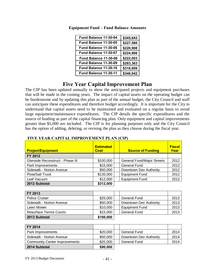| Fund Balance 11-30-04 | \$345,643 |
|-----------------------|-----------|
| Fund Balance 11-30-05 | \$227,560 |
| Fund Balance 11-30-06 | \$220,908 |
| Fund Balance 11-30-07 | \$224,966 |
| Fund Balance 11-30-08 | \$222,003 |
| Fund Balance 11-30-09 | \$283,363 |
| Fund Balance 11-30-10 | \$318,809 |
| Fund Balance 11-30-11 | \$346,942 |

**Equipment Fund – Fund Balance Amounts**

# **Five Year Capital Improvement Plan**

The CIP has been updated annually to show the anticipated projects and equipment purchases that will be made in the coming years. The impact of capital assets on the operating budget can be burdensome and by updating this plan as part of the annual budget, the City Council and staff can anticipate these expenditures and therefore budget accordingly. It is important for the City to understand that capital assets need to be maintained and evaluated on a regular basis to avoid large equipment/maintenance expenditures. The CIP details the specific expenditures and the source of funding as part of the capital financing plan. Only equipment and capital improvements greater than \$5,000 are included. The CIP is for planning purposes only and the City Council has the option of adding, deleting, or revising the plan as they choose during the fiscal year.

| <b>Project/Equipment</b>         | <b>Estimated</b><br><b>Cost</b> | <b>Source of Funding</b>          | <b>Fiscal</b><br>Year |
|----------------------------------|---------------------------------|-----------------------------------|-----------------------|
| FY 2012                          |                                 |                                   |                       |
| Glenside Reconstruct - Phase III | \$100,000                       | <b>General Fund/Major Streets</b> | 2012                  |
| Park Improvements                | \$15,000                        | <b>General Fund</b>               | 2012                  |
| Sidewalk - Norton Avenue         | \$50,000                        | Downtown Dev Authority            | 2012                  |
| <b>Plow/Salt Truck</b>           | \$135,000                       | <b>Equipment Fund</b>             | 2012                  |
| Leaf Vacuum                      | \$12,000                        | <b>Equipment Fund</b>             | 2012                  |
| 2012 Subtotal                    | \$312,000                       |                                   |                       |

#### **FIVE YEAR CAPITAL IMPROVEMENT PLAN (CIP)**

| FY 2013                        |           |                        |      |
|--------------------------------|-----------|------------------------|------|
| <b>Police Cruiser</b>          | \$25,000  | <b>General Fund</b>    | 2013 |
| Sidewalk - Norton Avenue       | \$50,000  | Downtown Dev Authority | 2013 |
| Lawn Mower                     | \$10,000  | <b>Equipment Fund</b>  | 2013 |
| <b>Resurface Tennis Courts</b> | \$15,000  | <b>General Fund</b>    | 2013 |
| 2013 Subtotal                  | \$100,000 |                        |      |

| FY 2014                              |          |                        |      |
|--------------------------------------|----------|------------------------|------|
| Park Improvements                    | \$20,000 | <b>General Fund</b>    | 2014 |
| Sidewalk - Norton Avenue             | \$50,000 | Downtown Dev Authority | 2014 |
| <b>Community Center Improvements</b> | \$20,000 | General Fund           | 2014 |
| 2014 Subtotal                        | \$90,000 |                        |      |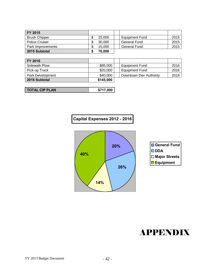| FY 2015               |        |                       |      |
|-----------------------|--------|-----------------------|------|
| <b>Brush Chipper</b>  | 25,000 | <b>Equipment Fund</b> | 2015 |
| <b>Police Cruiser</b> | 30,000 | General Fund          | 2015 |
| Park Improvements     | 15.000 | General Fund          | 2015 |
| 2015 Subtotal         | 70.000 |                       |      |

| <b>FY 2016</b>   |           |                        |      |
|------------------|-----------|------------------------|------|
| Sidewalk Plow    | \$85,000  | <b>Equipment Fund</b>  | 2016 |
| Pick-up Truck    | \$20,000  | <b>Equipment Fund</b>  | 2016 |
| Park Development | \$40,000  | Downtown Dev Authority | 2016 |
| 2016 Subtotal    | \$145,000 |                        |      |

| <b>TOTAL CIP PLAN</b> | \$717,000 |
|-----------------------|-----------|
|-----------------------|-----------|







# APPENDIX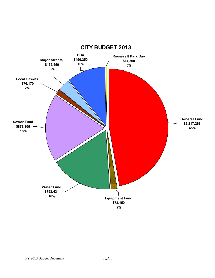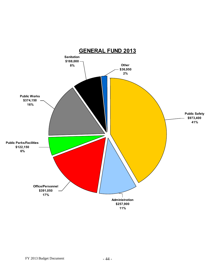